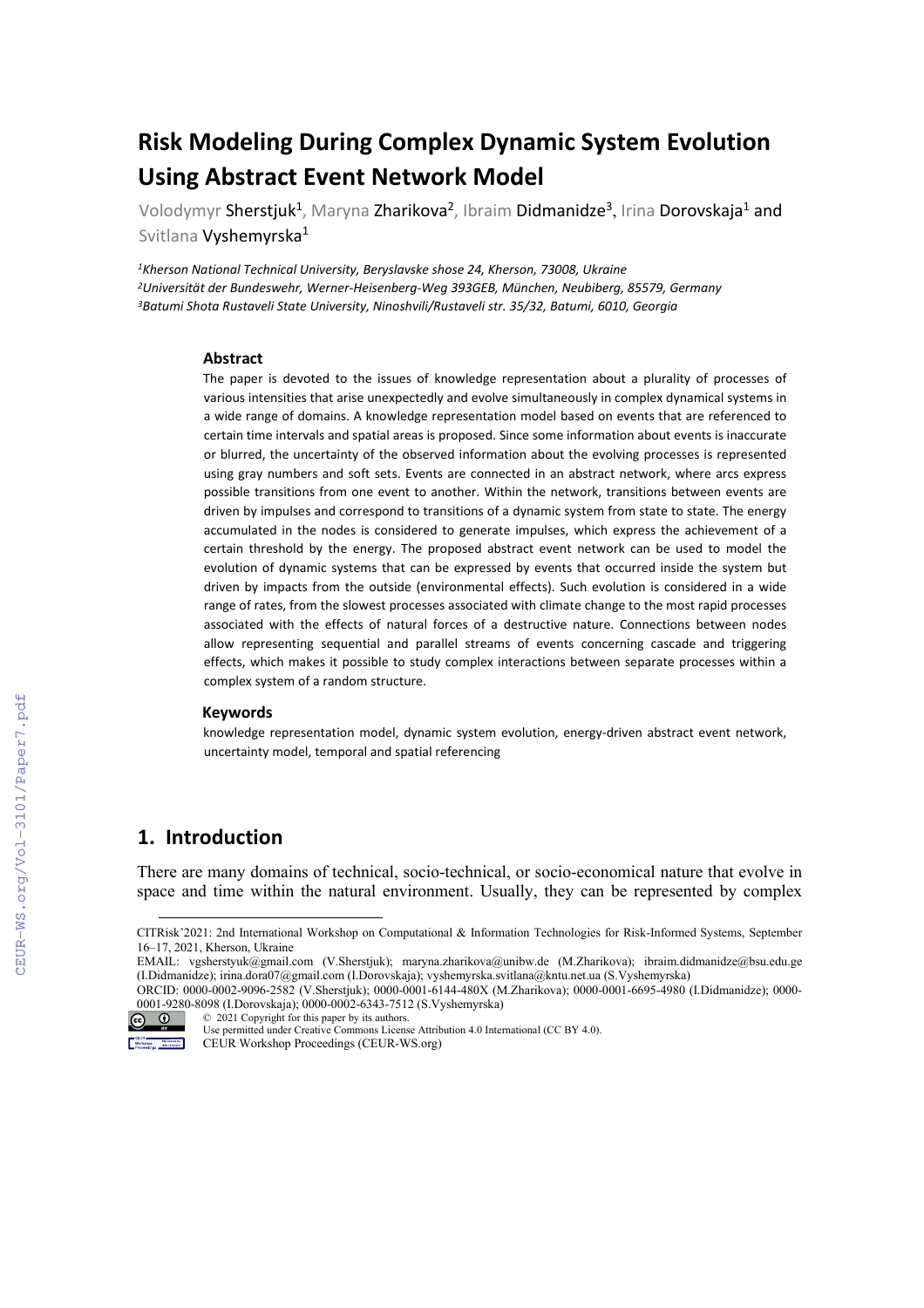# **Risk Modeling During Complex Dynamic System Evolution Using Abstract Event Network Model**

Volodymyr Sherstjuk<sup>1</sup>, Maryna Zharikova<sup>2</sup>, Ibraim Didmanidze<sup>3</sup>, Irina Dorovskaja<sup>1</sup> and Svitlana Vyshemyrska<sup>1</sup>

*1Kherson National Technical University, Beryslavske shose 24, Kherson, 73008, Ukraine 2Universität der Bundeswehr, Werner-Heisenberg-Weg 393GEB, München, Neubiberg, 85579, Germany 3Batumi Shota Rustaveli State University, Ninoshvili/Rustaveli str. 35/32, Batumi, 6010, Georgia*

#### **Abstract**

The paper is devoted to the issues of knowledge representation about a plurality of processes of various intensities that arise unexpectedly and evolve simultaneously in complex dynamical systems in a wide range of domains. A knowledge representation model based on events that are referenced to certain time intervals and spatial areas is proposed. Since some information about events is inaccurate or blurred, the uncertainty of the observed information about the evolving processes is represented using gray numbers and soft sets. Events are connected in an abstract network, where arcs express possible transitions from one event to another. Within the network, transitions between events are driven by impulses and correspond to transitions of a dynamic system from state to state. The energy accumulated in the nodes is considered to generate impulses, which express the achievement of a certain threshold by the energy. The proposed abstract event network can be used to model the evolution of dynamic systems that can be expressed by events that occurred inside the system but driven by impacts from the outside (environmental effects). Such evolution is considered in a wide range of rates, from the slowest processes associated with climate change to the most rapid processes associated with the effects of natural forces of a destructive nature. Connections between nodes allow representing sequential and parallel streams of events concerning cascade and triggering effects, which makes it possible to study complex interactions between separate processes within a complex system of a random structure.

#### **Keywords**

knowledge representation model, dynamic system evolution, energy-driven abstract event network, uncertainty model, temporal and spatial referencing

## **1. Introduction**

There are many domains of technical, socio-technical, or socio-economical nature that evolve in space and time within the natural environment. Usually, they can be represented by complex

<sup>©</sup> 2021 Copyright for this paper by its authors.



Use permitted under Creative Commons License Attribution 4.0 International (CC BY 4.0). CEUR Workshop Proceedings (CEUR-WS.org)

CITRisk'2021: 2nd International Workshop on Computational & Information Technologies for Risk-Informed Systems, September 16–17, 2021, Kherson, Ukraine

<span id="page-0-0"></span>EMAIL: vgsherstyuk@gmail.com (V.Sherstjuk); [maryna.zharikova@unibw.de](mailto:maryna.zharikova@unibw.de) (M.Zharikova); ibraim.didmanidze@bsu.edu.ge (I.Didmanidze); irina.dora07@gmail.com (I.Dorovskaja); [vyshemyrska.svitlana@kntu.net.ua](mailto:vyshemyrska.svitlana@kntu.net.ua) (S.Vyshemyrska)

ORCID: 0000-0002-9096-2582 (V.Sherstjuk); 0000-0001-6144-480X (M.Zharikova); 0000-0001-6695-4980 (I.Didmanidze); 0000- 0001-9280-8098 (I.Dorovskaja); [0000-0002-6343-7512](https://orcid.org/0000-0002-6343-7512) (S.Vyshemyrska)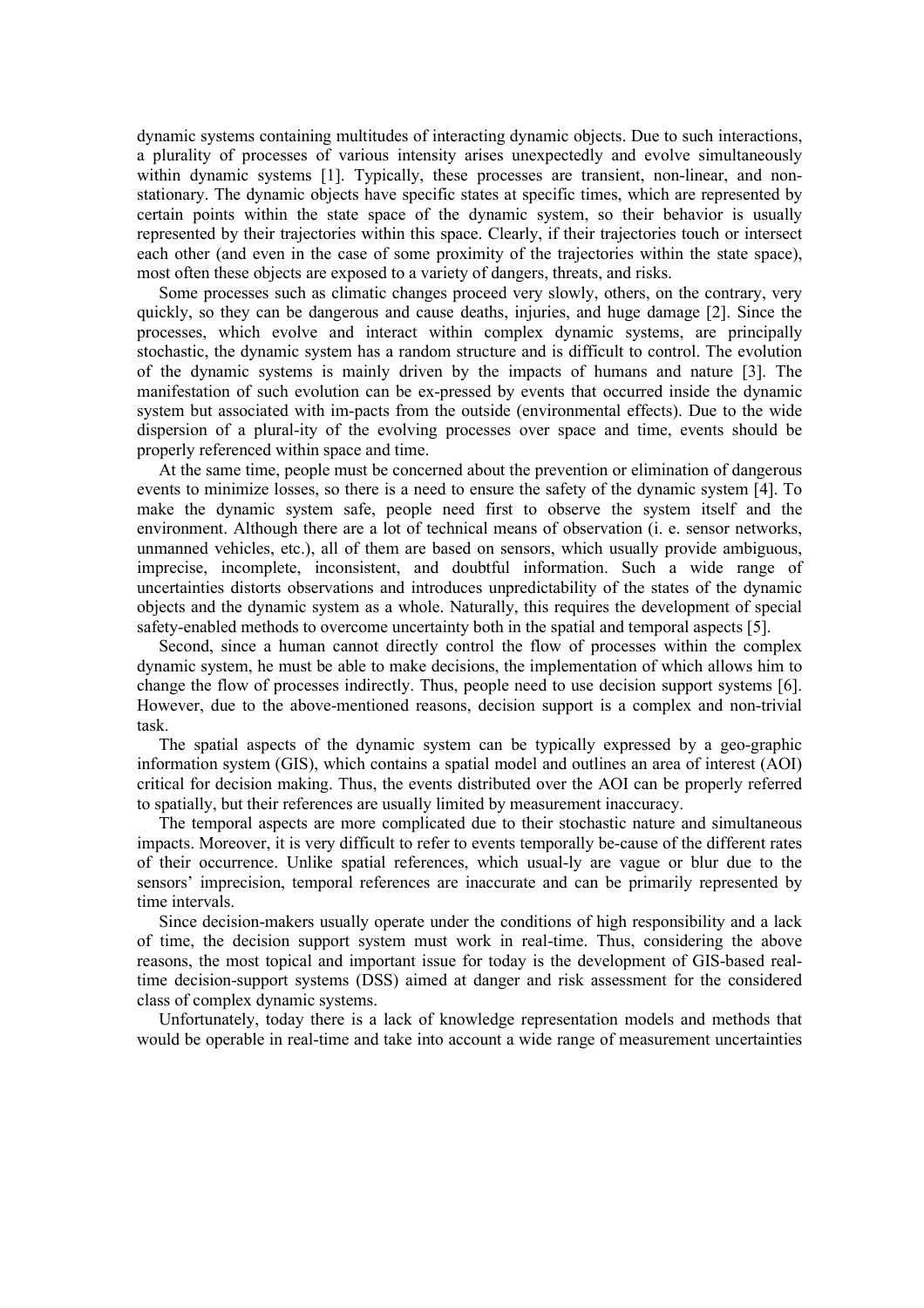dynamic systems containing multitudes of interacting dynamic objects. Due to such interactions, a plurality of processes of various intensity arises unexpectedly and evolve simultaneously within dynamic systems [1]. Typically, these processes are transient, non-linear, and nonstationary. The dynamic objects have specific states at specific times, which are represented by certain points within the state space of the dynamic system, so their behavior is usually represented by their trajectories within this space. Clearly, if their trajectories touch or intersect each other (and even in the case of some proximity of the trajectories within the state space), most often these objects are exposed to a variety of dangers, threats, and risks.

Some processes such as climatic changes proceed very slowly, others, on the contrary, very quickly, so they can be dangerous and cause deaths, injuries, and huge damage [2]. Since the processes, which evolve and interact within complex dynamic systems, are principally stochastic, the dynamic system has a random structure and is difficult to control. The evolution of the dynamic systems is mainly driven by the impacts of humans and nature [3]. The manifestation of such evolution can be ex-pressed by events that occurred inside the dynamic system but associated with im-pacts from the outside (environmental effects). Due to the wide dispersion of a plural-ity of the evolving processes over space and time, events should be properly referenced within space and time.

At the same time, people must be concerned about the prevention or elimination of dangerous events to minimize losses, so there is a need to ensure the safety of the dynamic system [4]. To make the dynamic system safe, people need first to observe the system itself and the environment. Although there are a lot of technical means of observation (i. e. sensor networks, unmanned vehicles, etc.), all of them are based on sensors, which usually provide ambiguous, imprecise, incomplete, inconsistent, and doubtful information. Such a wide range of uncertainties distorts observations and introduces unpredictability of the states of the dynamic objects and the dynamic system as a whole. Naturally, this requires the development of special safety-enabled methods to overcome uncertainty both in the spatial and temporal aspects [5].

Second, since a human cannot directly control the flow of processes within the complex dynamic system, he must be able to make decisions, the implementation of which allows him to change the flow of processes indirectly. Thus, people need to use decision support systems [6]. However, due to the above-mentioned reasons, decision support is a complex and non-trivial task.

The spatial aspects of the dynamic system can be typically expressed by a geo-graphic information system (GIS), which contains a spatial model and outlines an area of interest (AOI) critical for decision making. Thus, the events distributed over the AOI can be properly referred to spatially, but their references are usually limited by measurement inaccuracy.

The temporal aspects are more complicated due to their stochastic nature and simultaneous impacts. Moreover, it is very difficult to refer to events temporally be-cause of the different rates of their occurrence. Unlike spatial references, which usual-ly are vague or blur due to the sensors' imprecision, temporal references are inaccurate and can be primarily represented by time intervals.

Since decision-makers usually operate under the conditions of high responsibility and a lack of time, the decision support system must work in real-time. Thus, considering the above reasons, the most topical and important issue for today is the development of GIS-based realtime decision-support systems (DSS) aimed at danger and risk assessment for the considered class of complex dynamic systems.

Unfortunately, today there is a lack of knowledge representation models and methods that would be operable in real-time and take into account a wide range of measurement uncertainties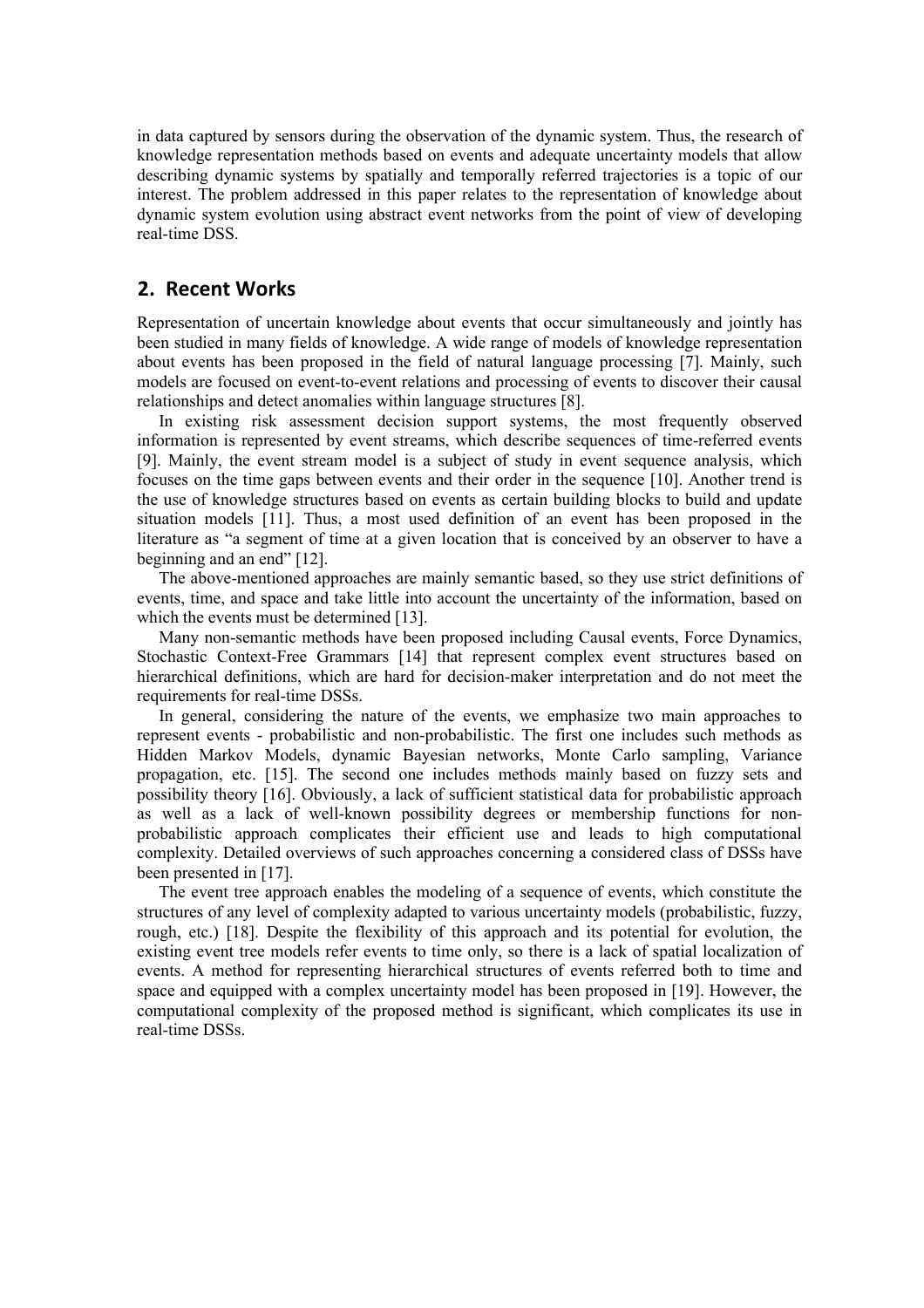in data captured by sensors during the observation of the dynamic system. Thus, the research of knowledge representation methods based on events and adequate uncertainty models that allow describing dynamic systems by spatially and temporally referred trajectories is a topic of our interest. The problem addressed in this paper relates to the representation of knowledge about dynamic system evolution using abstract event networks from the point of view of developing real-time DSS.

## **2. Recent Works**

Representation of uncertain knowledge about events that occur simultaneously and jointly has been studied in many fields of knowledge. A wide range of models of knowledge representation about events has been proposed in the field of natural language processing [7]. Mainly, such models are focused on event-to-event relations and processing of events to discover their causal relationships and detect anomalies within language structures [8].

In existing risk assessment decision support systems, the most frequently observed information is represented by event streams, which describe sequences of time-referred events [9]. Mainly, the event stream model is a subject of study in event sequence analysis, which focuses on the time gaps between events and their order in the sequence [10]. Another trend is the use of knowledge structures based on events as certain building blocks to build and update situation models [11]. Thus, a most used definition of an event has been proposed in the literature as "a segment of time at a given location that is conceived by an observer to have a beginning and an end" [12].

The above-mentioned approaches are mainly semantic based, so they use strict definitions of events, time, and space and take little into account the uncertainty of the information, based on which the events must be determined [13].

Many non-semantic methods have been proposed including Causal events, Force Dynamics, Stochastic Context-Free Grammars [14] that represent complex event structures based on hierarchical definitions, which are hard for decision-maker interpretation and do not meet the requirements for real-time DSSs.

In general, considering the nature of the events, we emphasize two main approaches to represent events - probabilistic and non-probabilistic. The first one includes such methods as Hidden Markov Models, dynamic Bayesian networks, Monte Carlo sampling, Variance propagation, etc. [15]. The second one includes methods mainly based on fuzzy sets and possibility theory [16]. Obviously, a lack of sufficient statistical data for probabilistic approach as well as a lack of well-known possibility degrees or membership functions for nonprobabilistic approach complicates their efficient use and leads to high computational complexity. Detailed overviews of such approaches concerning a considered class of DSSs have been presented in [17].

The event tree approach enables the modeling of a sequence of events, which constitute the structures of any level of complexity adapted to various uncertainty models (probabilistic, fuzzy, rough, etc.) [18]. Despite the flexibility of this approach and its potential for evolution, the existing event tree models refer events to time only, so there is a lack of spatial localization of events. A method for representing hierarchical structures of events referred both to time and space and equipped with a complex uncertainty model has been proposed in [19]. However, the computational complexity of the proposed method is significant, which complicates its use in real-time DSSs.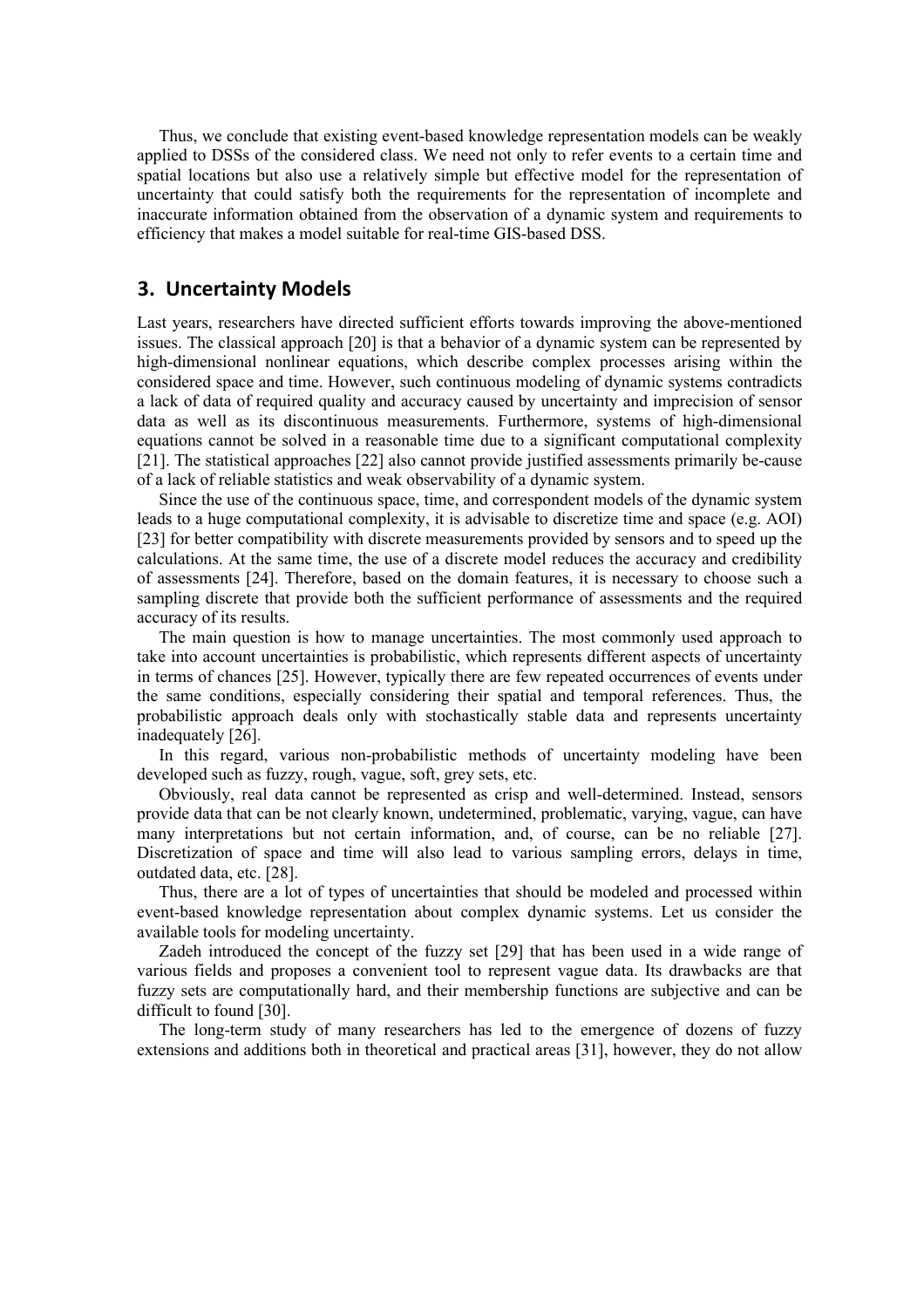Thus, we conclude that existing event-based knowledge representation models can be weakly applied to DSSs of the considered class. We need not only to refer events to a certain time and spatial locations but also use a relatively simple but effective model for the representation of uncertainty that could satisfy both the requirements for the representation of incomplete and inaccurate information obtained from the observation of a dynamic system and requirements to efficiency that makes a model suitable for real-time GIS-based DSS.

## **3. Uncertainty Models**

Last years, researchers have directed sufficient efforts towards improving the above-mentioned issues. The classical approach [20] is that a behavior of a dynamic system can be represented by high-dimensional nonlinear equations, which describe complex processes arising within the considered space and time. However, such continuous modeling of dynamic systems contradicts a lack of data of required quality and accuracy caused by uncertainty and imprecision of sensor data as well as its discontinuous measurements. Furthermore, systems of high-dimensional equations cannot be solved in a reasonable time due to a significant computational complexity [21]. The statistical approaches [22] also cannot provide justified assessments primarily be-cause of a lack of reliable statistics and weak observability of a dynamic system.

Since the use of the continuous space, time, and correspondent models of the dynamic system leads to a huge computational complexity, it is advisable to discretize time and space (e.g. AOI) [23] for better compatibility with discrete measurements provided by sensors and to speed up the calculations. At the same time, the use of a discrete model reduces the accuracy and credibility of assessments [24]. Therefore, based on the domain features, it is necessary to choose such a sampling discrete that provide both the sufficient performance of assessments and the required accuracy of its results.

The main question is how to manage uncertainties. The most commonly used approach to take into account uncertainties is probabilistic, which represents different aspects of uncertainty in terms of chances [25]. However, typically there are few repeated occurrences of events under the same conditions, especially considering their spatial and temporal references. Thus, the probabilistic approach deals only with stochastically stable data and represents uncertainty inadequately [26].

In this regard, various non-probabilistic methods of uncertainty modeling have been developed such as fuzzy, rough, vague, soft, grey sets, etc.

Obviously, real data cannot be represented as crisp and well-determined. Instead, sensors provide data that can be not clearly known, undetermined, problematic, varying, vague, can have many interpretations but not certain information, and, of course, can be no reliable [27]. Discretization of space and time will also lead to various sampling errors, delays in time, outdated data, etc. [28].

Thus, there are a lot of types of uncertainties that should be modeled and processed within event-based knowledge representation about complex dynamic systems. Let us consider the available tools for modeling uncertainty.

Zadeh introduced the concept of the fuzzy set [29] that has been used in a wide range of various fields and proposes a convenient tool to represent vague data. Its drawbacks are that fuzzy sets are computationally hard, and their membership functions are subjective and can be difficult to found [30].

The long-term study of many researchers has led to the emergence of dozens of fuzzy extensions and additions both in theoretical and practical areas [31], however, they do not allow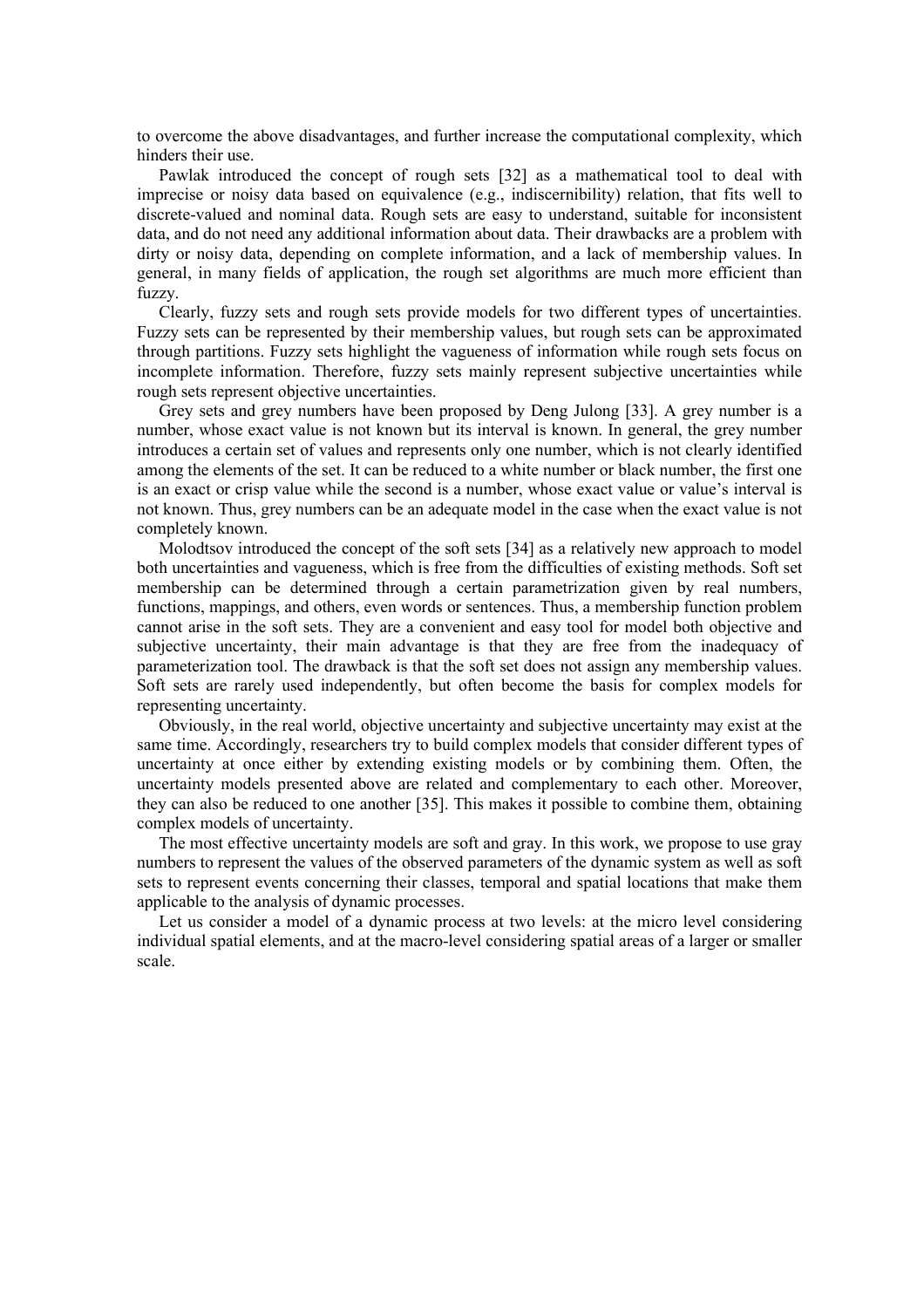to overcome the above disadvantages, and further increase the computational complexity, which hinders their use.

Pawlak introduced the concept of rough sets [32] as a mathematical tool to deal with imprecise or noisy data based on equivalence (e.g., indiscernibility) relation, that fits well to discrete-valued and nominal data. Rough sets are easy to understand, suitable for inconsistent data, and do not need any additional information about data. Their drawbacks are a problem with dirty or noisy data, depending on complete information, and a lack of membership values. In general, in many fields of application, the rough set algorithms are much more efficient than fuzzy.

Clearly, fuzzy sets and rough sets provide models for two different types of uncertainties. Fuzzy sets can be represented by their membership values, but rough sets can be approximated through partitions. Fuzzy sets highlight the vagueness of information while rough sets focus on incomplete information. Therefore, fuzzy sets mainly represent subjective uncertainties while rough sets represent objective uncertainties.

Grey sets and grey numbers have been proposed by Deng Julong [33]. A grey number is a number, whose exact value is not known but its interval is known. In general, the grey number introduces a certain set of values and represents only one number, which is not clearly identified among the elements of the set. It can be reduced to a white number or black number, the first one is an exact or crisp value while the second is a number, whose exact value or value's interval is not known. Thus, grey numbers can be an adequate model in the case when the exact value is not completely known.

Molodtsov introduced the concept of the soft sets [34] as a relatively new approach to model both uncertainties and vagueness, which is free from the difficulties of existing methods. Soft set membership can be determined through a certain parametrization given by real numbers, functions, mappings, and others, even words or sentences. Thus, a membership function problem cannot arise in the soft sets. They are a convenient and easy tool for model both objective and subjective uncertainty, their main advantage is that they are free from the inadequacy of parameterization tool. The drawback is that the soft set does not assign any membership values. Soft sets are rarely used independently, but often become the basis for complex models for representing uncertainty.

Obviously, in the real world, objective uncertainty and subjective uncertainty may exist at the same time. Accordingly, researchers try to build complex models that consider different types of uncertainty at once either by extending existing models or by combining them. Often, the uncertainty models presented above are related and complementary to each other. Moreover, they can also be reduced to one another [35]. This makes it possible to combine them, obtaining complex models of uncertainty.

The most effective uncertainty models are soft and gray. In this work, we propose to use gray numbers to represent the values of the observed parameters of the dynamic system as well as soft sets to represent events concerning their classes, temporal and spatial locations that make them applicable to the analysis of dynamic processes.

Let us consider a model of a dynamic process at two levels: at the micro level considering individual spatial elements, and at the macro-level considering spatial areas of a larger or smaller scale.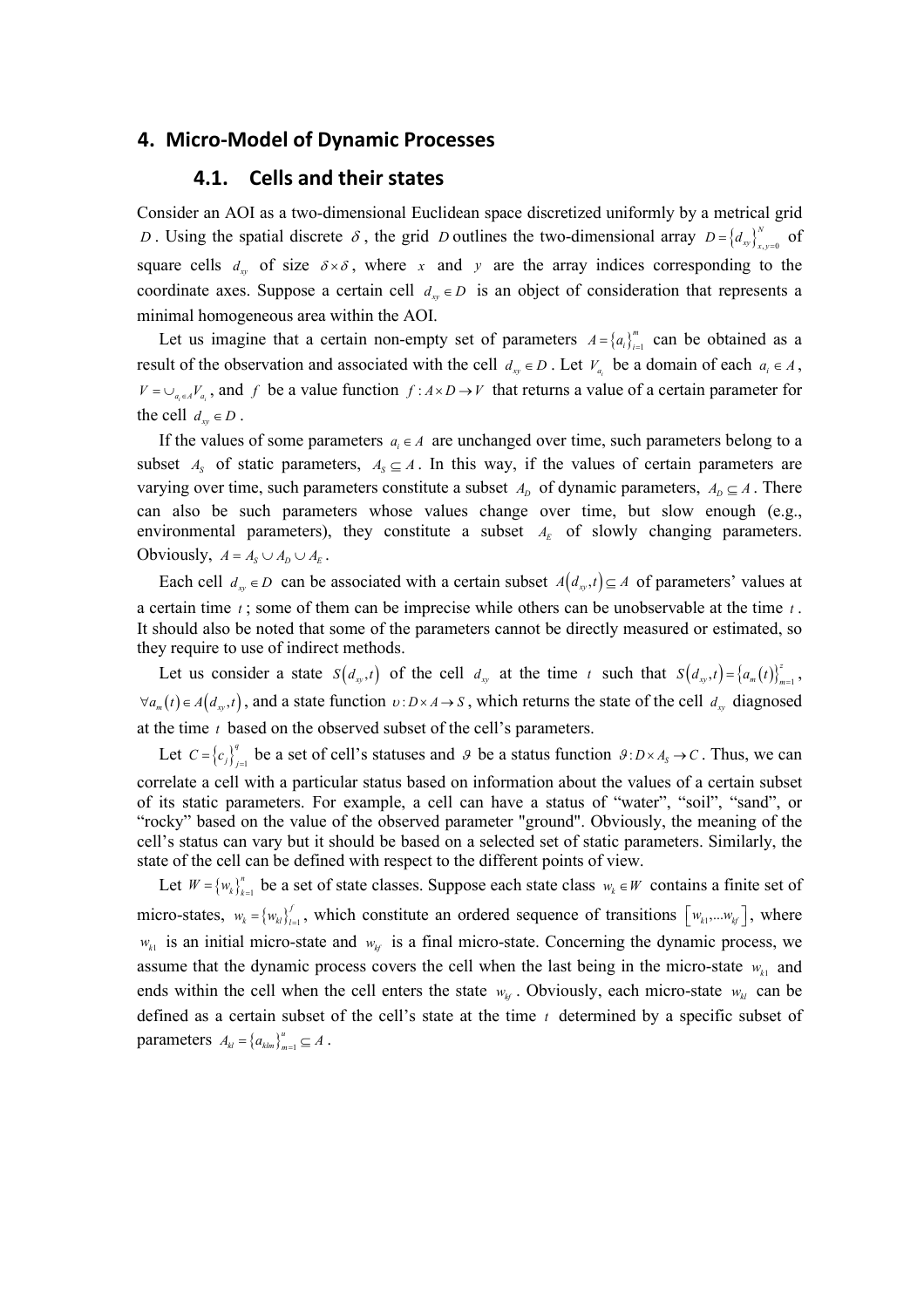#### **4. Micro-Model of Dynamic Processes**

#### **4.1. Cells and their states**

Consider an AOI as a two-dimensional Euclidean space discretized uniformly by a metrical grid *D*. Using the spatial discrete  $\delta$ , the grid *D* outlines the two-dimensional array  $D = \{d_{xy}\}_{x,y=0}^N$  of square cells  $d_w$  of size  $\delta \times \delta$ , where x and y are the array indices corresponding to the coordinate axes. Suppose a certain cell  $d_{xy} \in D$  is an object of consideration that represents a minimal homogeneous area within the AOI.

Let us imagine that a certain non-empty set of parameters  $A = \{a_i\}_{i=1}^m$  can be obtained as a result of the observation and associated with the cell  $d_{xy} \in D$ . Let  $V_{a}$  be a domain of each  $a_i \in A$ ,  $V = \bigcup_{a_i \in A} V_a$ , and *f* be a value function  $f : A \times D \to V$  that returns a value of a certain parameter for the cell  $d_w \in D$ .

If the values of some parameters  $a_i \in A$  are unchanged over time, such parameters belong to a subset  $A_s$  of static parameters,  $A_s \subseteq A$ . In this way, if the values of certain parameters are varying over time, such parameters constitute a subset  $A_D$  of dynamic parameters,  $A_D \subseteq A$ . There can also be such parameters whose values change over time, but slow enough (e.g., environmental parameters), they constitute a subset  $A<sub>E</sub>$  of slowly changing parameters. Obviously,  $A = A_s \cup A_p \cup A_k$ .

Each cell  $d_{xy} \in D$  can be associated with a certain subset  $A(d_{xy}, t) \subseteq A$  of parameters' values at a certain time *t* ; some of them can be imprecise while others can be unobservable at the time *t* . It should also be noted that some of the parameters cannot be directly measured or estimated, so they require to use of indirect methods.

Let us consider a state  $S(d_{xy},t)$  of the cell  $d_{xy}$  at the time  $t$  such that  $S(d_{xy},t) = \{a_m(t)\}_{m=1}^z$ ,  $\forall a_m(t) \in A(d_m,t)$ , and a state function  $v: D \times A \to S$ , which returns the state of the cell  $d_m$  diagnosed at the time *t* based on the observed subset of the cell's parameters.

Let  $C = \{c_j\}_{j=1}^q$  $C = \{c_j\}_{j=1}^n$  be a set of cell's statuses and  $\theta$  be a status function  $\theta: D \times A_s \to C$ . Thus, we can correlate a cell with a particular status based on information about the values of a certain subset of its static parameters. For example, a cell can have a status of "water", "soil", "sand", or "rocky" based on the value of the observed parameter "ground". Obviously, the meaning of the cell's status can vary but it should be based on a selected set of static parameters. Similarly, the state of the cell can be defined with respect to the different points of view.

Let  $W = \{w_k\}_{k=1}^n$  be a set of state classes. Suppose each state class  $w_k \in W$  contains a finite set of micro-states,  $w_k = \{w_{kl}\}_{l=1}^f$ , which constitute an ordered sequence of transitions  $\left[w_{k1},...,w_{kf}\right]$ , where  $w_{k1}$  is an initial micro-state and  $w_{k}$  is a final micro-state. Concerning the dynamic process, we assume that the dynamic process covers the cell when the last being in the micro-state  $w_{k1}$  and ends within the cell when the cell enters the state  $w_{k}$ . Obviously, each micro-state  $w_{k}$  can be defined as a certain subset of the cell's state at the time *t* determined by a specific subset of parameters  $A_{kl} = \left\{ a_{klm} \right\}_{m=1}^u \subseteq A$ .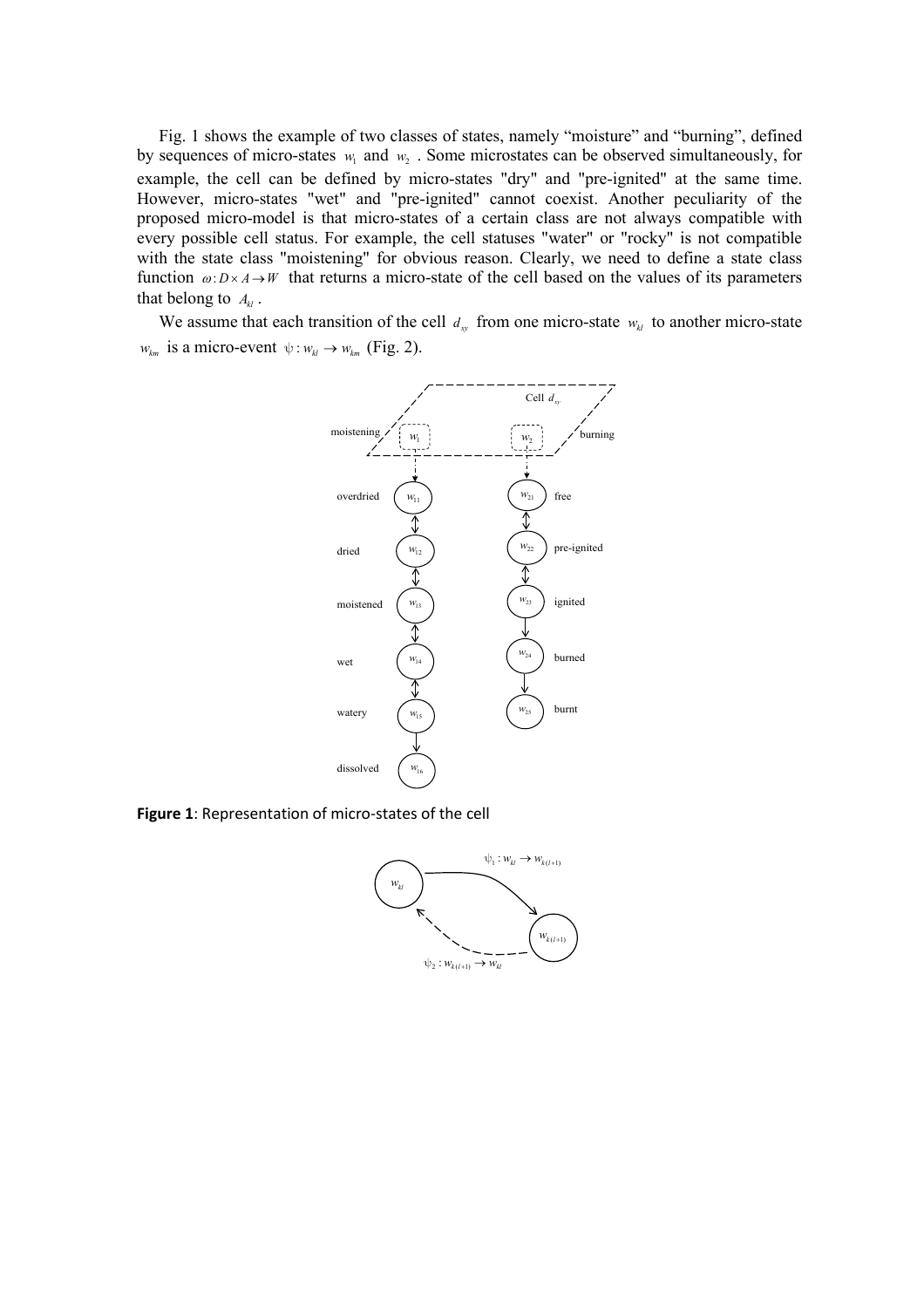Fig. 1 shows the example of two classes of states, namely "moisture" and "burning", defined by sequences of micro-states  $w_1$  and  $w_2$ . Some microstates can be observed simultaneously, for example, the cell can be defined by micro-states "dry" and "pre-ignited" at the same time. However, micro-states "wet" and "pre-ignited" cannot coexist. Another peculiarity of the proposed micro-model is that micro-states of a certain class are not always compatible with every possible cell status. For example, the cell statuses "water" or "rocky" is not compatible with the state class "moistening" for obvious reason. Clearly, we need to define a state class function  $\omega: D \times A \to W$  that returns a micro-state of the cell based on the values of its parameters that belong to  $A_{\mu}$ .

We assume that each transition of the cell  $d_{xy}$  from one micro-state  $w_{kl}$  to another micro-state  $w_{km}$  is a micro-event  $\psi : w_{kl} \to w_{km}$  (Fig. 2).



**Figure 1**: Representation of micro-states of the cell

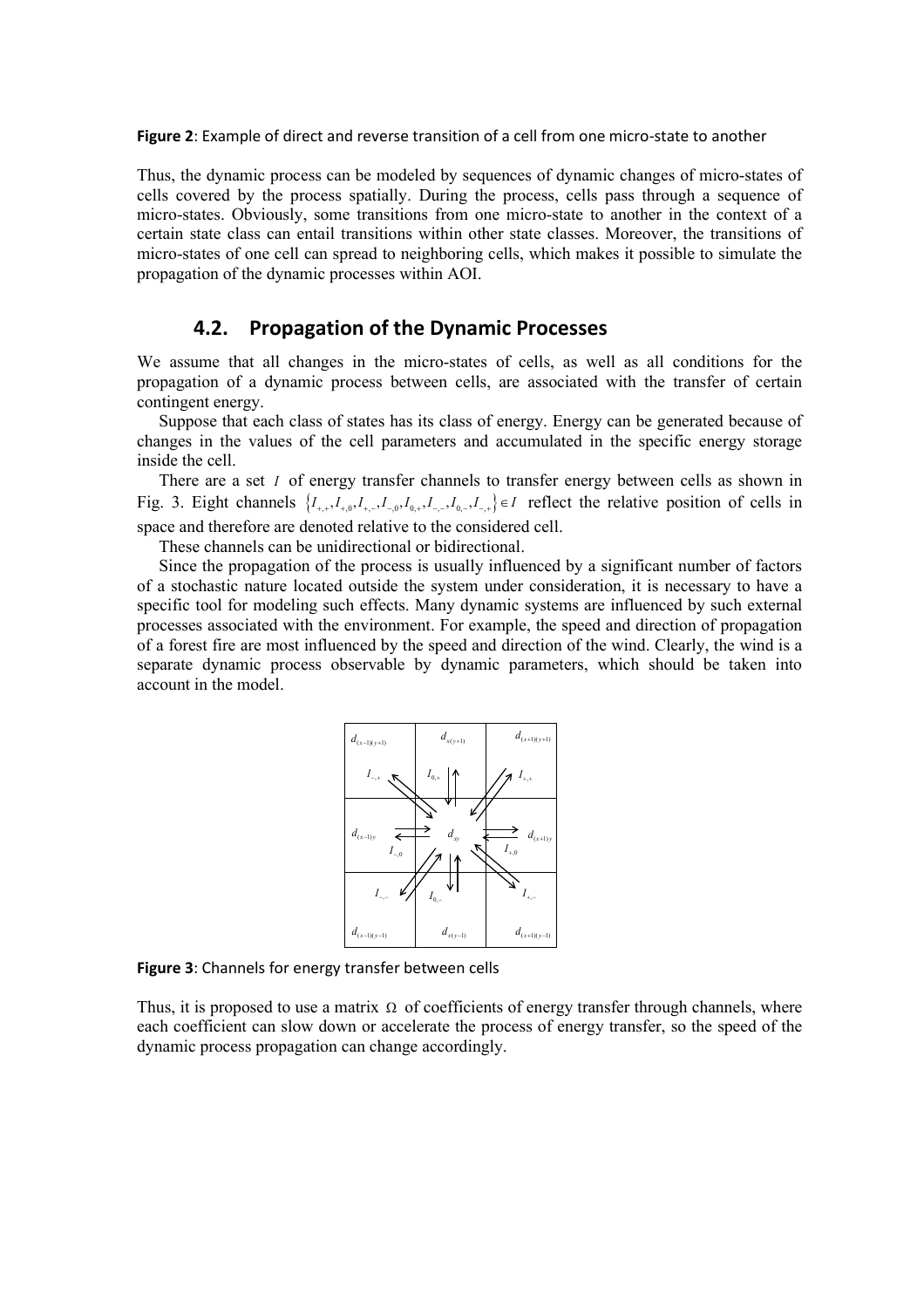**Figure 2**: Example of direct and reverse transition of a cell from one micro-state to another

Thus, the dynamic process can be modeled by sequences of dynamic changes of micro-states of cells covered by the process spatially. During the process, cells pass through a sequence of micro-states. Obviously, some transitions from one micro-state to another in the context of a certain state class can entail transitions within other state classes. Moreover, the transitions of micro-states of one cell can spread to neighboring cells, which makes it possible to simulate the propagation of the dynamic processes within AOI.

#### **4.2. Propagation of the Dynamic Processes**

We assume that all changes in the micro-states of cells, as well as all conditions for the propagation of a dynamic process between cells, are associated with the transfer of certain contingent energy.

Suppose that each class of states has its class of energy. Energy can be generated because of changes in the values of the cell parameters and accumulated in the specific energy storage inside the cell.

There are a set *I* of energy transfer channels to transfer energy between cells as shown in Fig. 3. Eight channels  $\{I_{+,+}, I_{+,0}, I_{+,+}, I_{-,0}, I_{0,+}, I_{-,-}, I_{0,-}, I_{-,+}\}\in I$  reflect the relative position of cells in space and therefore are denoted relative to the considered cell.

These channels can be unidirectional or bidirectional.

Since the propagation of the process is usually influenced by a significant number of factors of a stochastic nature located outside the system under consideration, it is necessary to have a specific tool for modeling such effects. Many dynamic systems are influenced by such external processes associated with the environment. For example, the speed and direction of propagation of a forest fire are most influenced by the speed and direction of the wind. Clearly, the wind is a separate dynamic process observable by dynamic parameters, which should be taken into account in the model.



**Figure 3**: Channels for energy transfer between cells

Thus, it is proposed to use a matrix  $\Omega$  of coefficients of energy transfer through channels, where each coefficient can slow down or accelerate the process of energy transfer, so the speed of the dynamic process propagation can change accordingly.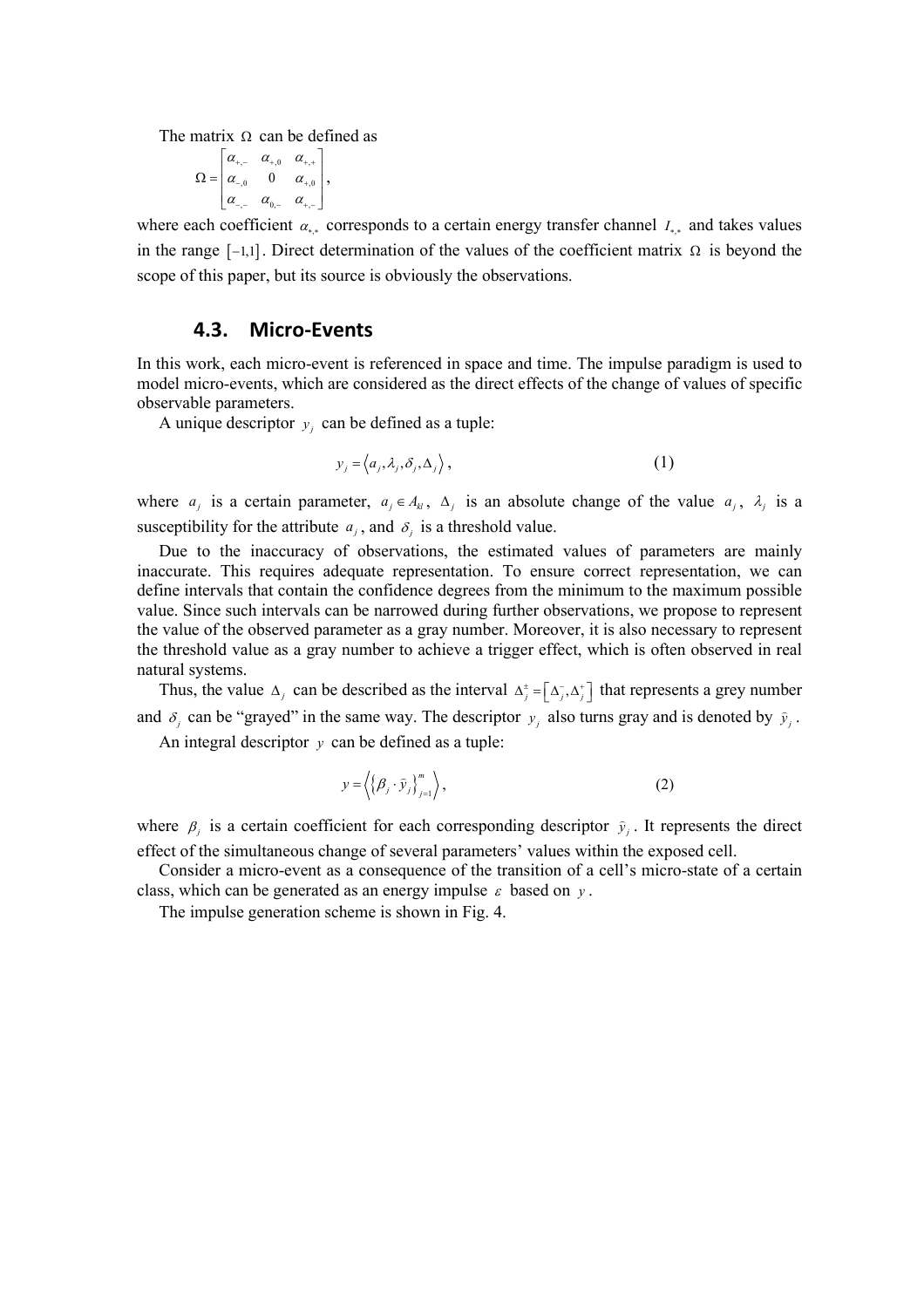The matrix  $\Omega$  can be defined as

$$
\Omega = \begin{bmatrix} \alpha_{+,-} & \alpha_{+,0} & \alpha_{+,+} \\ \alpha_{-,0} & 0 & \alpha_{+,0} \\ \alpha_{-,-} & \alpha_{0,-} & \alpha_{+,-} \end{bmatrix},
$$

where each coefficient  $\alpha_{**}$  corresponds to a certain energy transfer channel  $I_{**}$  and takes values in the range  $[-1,1]$ . Direct determination of the values of the coefficient matrix  $\Omega$  is beyond the scope of this paper, but its source is obviously the observations.

#### **4.3. Micro-Events**

In this work, each micro-event is referenced in space and time. The impulse paradigm is used to model micro-events, which are considered as the direct effects of the change of values of specific observable parameters.

A unique descriptor  $y_i$  can be defined as a tuple:

$$
y_j = \langle a_j, \lambda_j, \delta_j, \Delta_j \rangle, \tag{1}
$$

where  $a_i$  is a certain parameter,  $a_i \in A_{ki}$ ,  $\Delta_i$  is an absolute change of the value  $a_i$ ,  $\lambda_i$  is a susceptibility for the attribute  $a_j$ , and  $\delta_j$  is a threshold value.

Due to the inaccuracy of observations, the estimated values of parameters are mainly inaccurate. This requires adequate representation. To ensure correct representation, we can define intervals that contain the confidence degrees from the minimum to the maximum possible value. Since such intervals can be narrowed during further observations, we propose to represent the value of the observed parameter as a gray number. Moreover, it is also necessary to represent the threshold value as a gray number to achieve a trigger effect, which is often observed in real natural systems.

Thus, the value  $\Delta_j$  can be described as the interval  $\Delta_j^{\pm} = [\Delta_j^-, \Delta_j^+]$  that represents a grey number and  $\delta_j$  can be "grayed" in the same way. The descriptor  $y_j$  also turns gray and is denoted by  $\hat{y}_j$ .

An integral descriptor *y* can be defined as a tuple:

$$
y = \left\langle \left\{ \beta_j \cdot \hat{y}_j \right\}_{j=1}^m \right\rangle, \tag{2}
$$

where  $\beta_j$  is a certain coefficient for each corresponding descriptor  $\hat{y}_j$ . It represents the direct effect of the simultaneous change of several parameters' values within the exposed cell.

Consider a micro-event as a consequence of the transition of a cell's micro-state of a certain class, which can be generated as an energy impulse  $\varepsilon$  based on  $y$ .

The impulse generation scheme is shown in Fig. 4.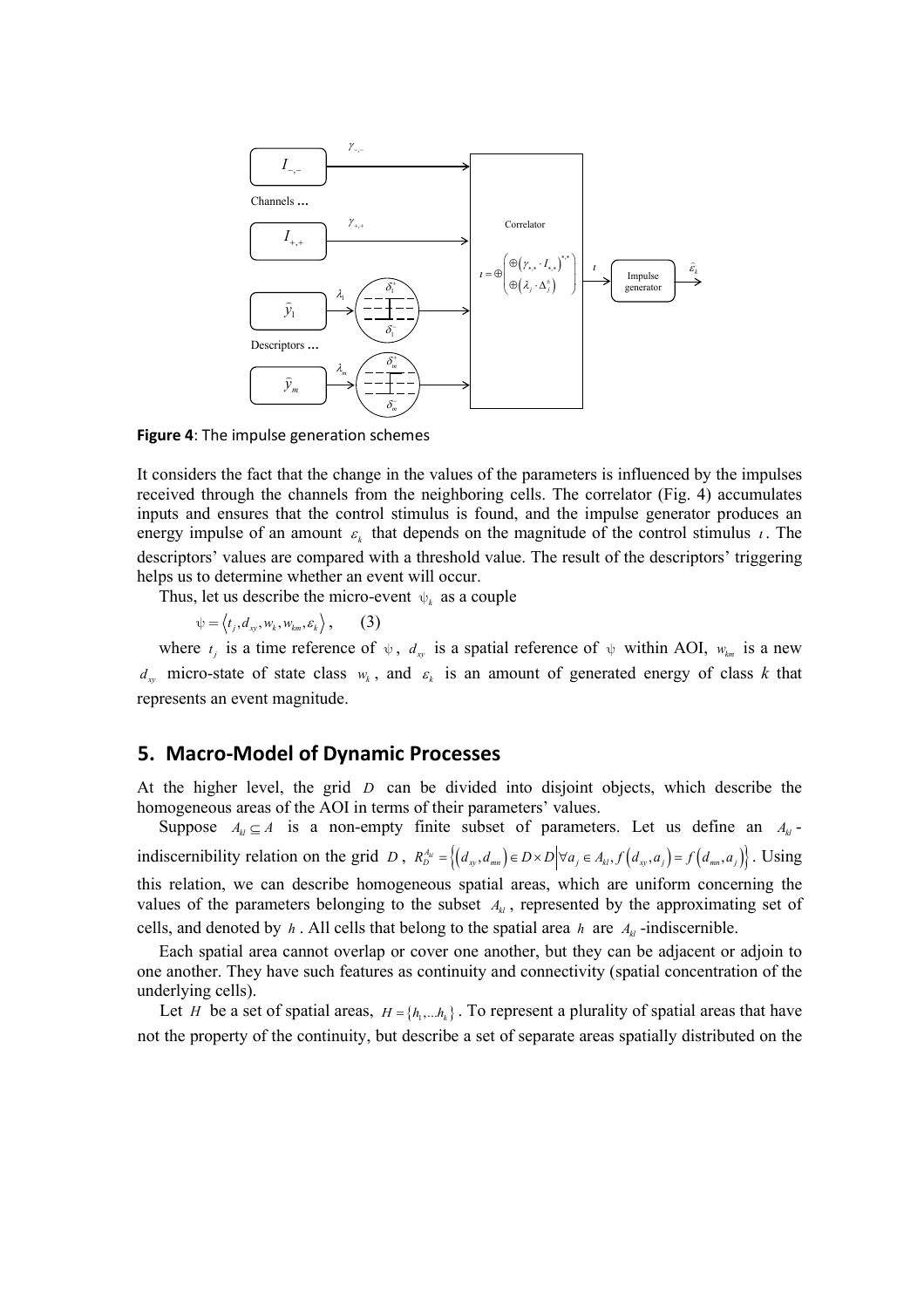

**Figure 4**: The impulse generation schemes

It considers the fact that the change in the values of the parameters is influenced by the impulses received through the channels from the neighboring cells. The correlator (Fig. 4) accumulates inputs and ensures that the control stimulus is found, and the impulse generator produces an energy impulse of an amount  $\varepsilon_k$  that depends on the magnitude of the control stimulus  $\iota$ . The descriptors' values are compared with a threshold value. The result of the descriptors' triggering helps us to determine whether an event will occur.

Thus, let us describe the micro-event  $\psi_k$  as a couple

 $\psi = \langle t_i, d_w, w_k, w_{km}, \varepsilon_k \rangle$ , (3)

where  $t_i$  is a time reference of  $\psi$ ,  $d_w$  is a spatial reference of  $\psi$  within AOI,  $w_{km}$  is a new  $d_{xy}$  micro-state of state class  $w_k$ , and  $\varepsilon_k$  is an amount of generated energy of class *k* that represents an event magnitude.

#### **5. Macro-Model of Dynamic Processes**

At the higher level, the grid *D* can be divided into disjoint objects, which describe the homogeneous areas of the AOI in terms of their parameters' values.

Suppose  $A_k \subseteq A$  is a non-empty finite subset of parameters. Let us define an  $A_k$ indiscernibility relation on the grid *D*,  $R_D^{A_u} = \{(d_w, d_{nm}) \in D \times D | \forall a_j \in A_k, f(d_w, a_j) = f(d_{nm}, a_j)\}\.$  Using this relation, we can describe homogeneous spatial areas, which are uniform concerning the values of the parameters belonging to the subset  $A_{kl}$ , represented by the approximating set of cells, and denoted by  $h$ . All cells that belong to the spatial area  $h$  are  $A_k$ -indiscernible.

Each spatial area cannot overlap or cover one another, but they can be adjacent or adjoin to one another. They have such features as continuity and connectivity (spatial concentration of the underlying cells).

Let *H* be a set of spatial areas,  $H = \{h_1, \ldots, h_k\}$ . To represent a plurality of spatial areas that have not the property of the continuity, but describe a set of separate areas spatially distributed on the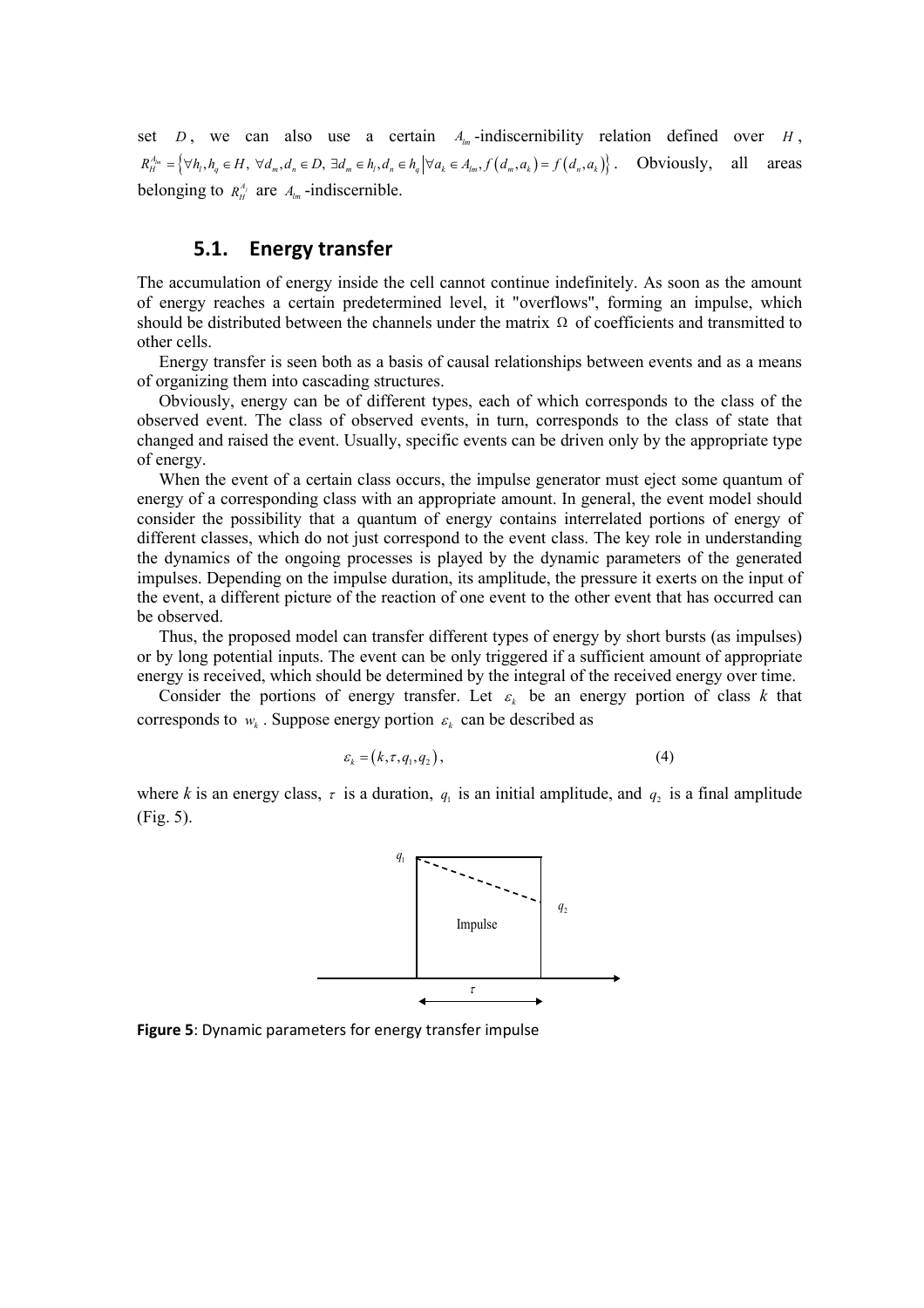set *D*, we can also use a certain  $A_{lm}$ -indiscernibility relation defined over *H*,  ${R}_{H}^{A_{lm}} = \left\{ \forall h_l, h_q \in H, \ \forall d_m, d_n \in D, \ \exists d_m \in h_l, d_n \in h_q \middle| \forall a_k \in A_{lm}, f(d_m, a_k) = f(d_n, a_k) \right\}.$  Obviously, all areas belonging to  $R_H^{\Lambda_j}$  are  $A_{lm}$ -indiscernible.

# **5.1. Energy transfer**

The accumulation of energy inside the cell cannot continue indefinitely. As soon as the amount of energy reaches a certain predetermined level, it "overflows", forming an impulse, which should be distributed between the channels under the matrix  $\Omega$  of coefficients and transmitted to other cells.

Energy transfer is seen both as a basis of causal relationships between events and as a means of organizing them into cascading structures.

Obviously, energy can be of different types, each of which corresponds to the class of the observed event. The class of observed events, in turn, corresponds to the class of state that changed and raised the event. Usually, specific events can be driven only by the appropriate type of energy.

When the event of a certain class occurs, the impulse generator must eject some quantum of energy of a corresponding class with an appropriate amount. In general, the event model should consider the possibility that a quantum of energy contains interrelated portions of energy of different classes, which do not just correspond to the event class. The key role in understanding the dynamics of the ongoing processes is played by the dynamic parameters of the generated impulses. Depending on the impulse duration, its amplitude, the pressure it exerts on the input of the event, a different picture of the reaction of one event to the other event that has occurred can be observed.

Thus, the proposed model can transfer different types of energy by short bursts (as impulses) or by long potential inputs. The event can be only triggered if a sufficient amount of appropriate energy is received, which should be determined by the integral of the received energy over time.

Consider the portions of energy transfer. Let  $\varepsilon_k$  be an energy portion of class k that corresponds to  $w_k$ . Suppose energy portion  $\varepsilon_k$  can be described as

$$
\varepsilon_{k} = (k, \tau, q_{1}, q_{2}), \qquad (4)
$$

where *k* is an energy class,  $\tau$  is a duration,  $q_1$  is an initial amplitude, and  $q_2$  is a final amplitude (Fig. 5).



**Figure 5**: Dynamic parameters for energy transfer impulse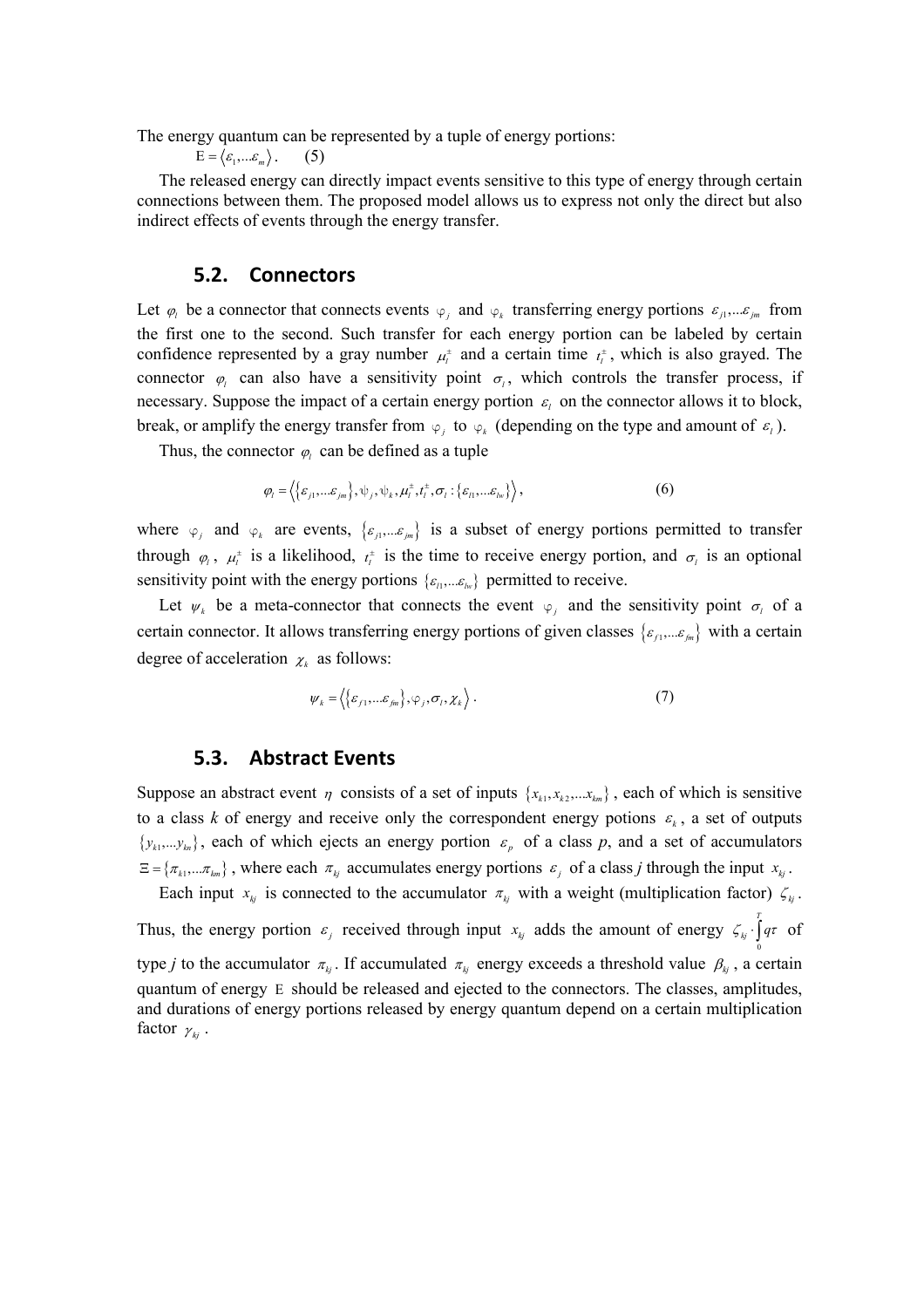The energy quantum can be represented by a tuple of energy portions:

$$
E = \langle \varepsilon_1, \dots \varepsilon_m \rangle. \qquad (5)
$$

The released energy can directly impact events sensitive to this type of energy through certain connections between them. The proposed model allows us to express not only the direct but also indirect effects of events through the energy transfer.

#### **5.2. Connectors**

Let  $\varphi_l$  be a connector that connects events  $\varphi_i$  and  $\varphi_k$  transferring energy portions  $\varepsilon_{j1},... \varepsilon_{jm}$  from the first one to the second. Such transfer for each energy portion can be labeled by certain confidence represented by a gray number  $\mu_t^{\pm}$  and a certain time  $t_t^{\pm}$ , which is also grayed. The connector  $\varphi$  can also have a sensitivity point  $\sigma$ <sub>*l*</sub>, which controls the transfer process, if necessary. Suppose the impact of a certain energy portion  $\varepsilon_l$  on the connector allows it to block, break, or amplify the energy transfer from  $\varphi_i$  to  $\varphi_k$  (depending on the type and amount of  $\varepsilon_i$ ).

Thus, the connector  $\varphi_i$  can be defined as a tuple

$$
\varphi_l = \left\langle \{\varepsilon_{j1},...\varepsilon_{jm}\},\psi_j,\psi_k,\mu_l^{\pm},t_l^{\pm},\sigma_l:\{\varepsilon_{l1},...\varepsilon_{lw}\}\right\rangle,
$$
(6)

where  $\varphi_j$  and  $\varphi_k$  are events,  $\{\varepsilon_{j1},...\varepsilon_{j_m}\}$  is a subset of energy portions permitted to transfer through  $\varphi_l$ ,  $\mu_l^{\pm}$  is a likelihood,  $t_l^{\pm}$  is the time to receive energy portion, and  $\sigma_l$  is an optional sensitivity point with the energy portions  $\{\varepsilon_n, \dots, \varepsilon_{k_v}\}$  permitted to receive.

Let  $\psi_k$  be a meta-connector that connects the event  $\varphi_i$  and the sensitivity point  $\sigma_i$  of a certain connector. It allows transferring energy portions of given classes  $\{\varepsilon_{f1},...\varepsilon_{fm}\}\$  with a certain degree of acceleration  $\chi_k$  as follows:

$$
\psi_{k} = \left\langle \left\{ \varepsilon_{f1}, \dots \varepsilon_{fm} \right\}, \varphi_{j}, \sigma_{l}, \chi_{k} \right\rangle. \tag{7}
$$

#### **5.3. Abstract Events**

Suppose an abstract event  $\eta$  consists of a set of inputs  $\{x_{k_1}, x_{k_2}, \dots, x_{k_m}\}$ , each of which is sensitive to a class *k* of energy and receive only the correspondent energy potions  $\varepsilon_k$ , a set of outputs  $\{y_{k1},...,y_{kn}\}\$ , each of which ejects an energy portion  $\varepsilon_p$  of a class p, and a set of accumulators  $\Xi = \{\pi_{k1},...\pi_{km}\}\$ , where each  $\pi_{kj}$  accumulates energy portions  $\varepsilon_j$  of a class *j* through the input  $x_{kj}$ .

Each input  $x_{kj}$  is connected to the accumulator  $\pi_{kj}$  with a weight (multiplication factor)  $\zeta_{kj}$ . Thus, the energy portion  $\varepsilon_j$  received through input  $x_{kj}$  adds the amount of energy  $\zeta_{kj} \cdot \int_0^T q \tau$  of type *j* to the accumulator  $\pi_{kj}$ . If accumulated  $\pi_{kj}$  energy exceeds a threshold value  $\beta_{kj}$ , a certain quantum of energy Ε should be released and ejected to the connectors. The classes, amplitudes, and durations of energy portions released by energy quantum depend on a certain multiplication factor  $\gamma_{ki}$ .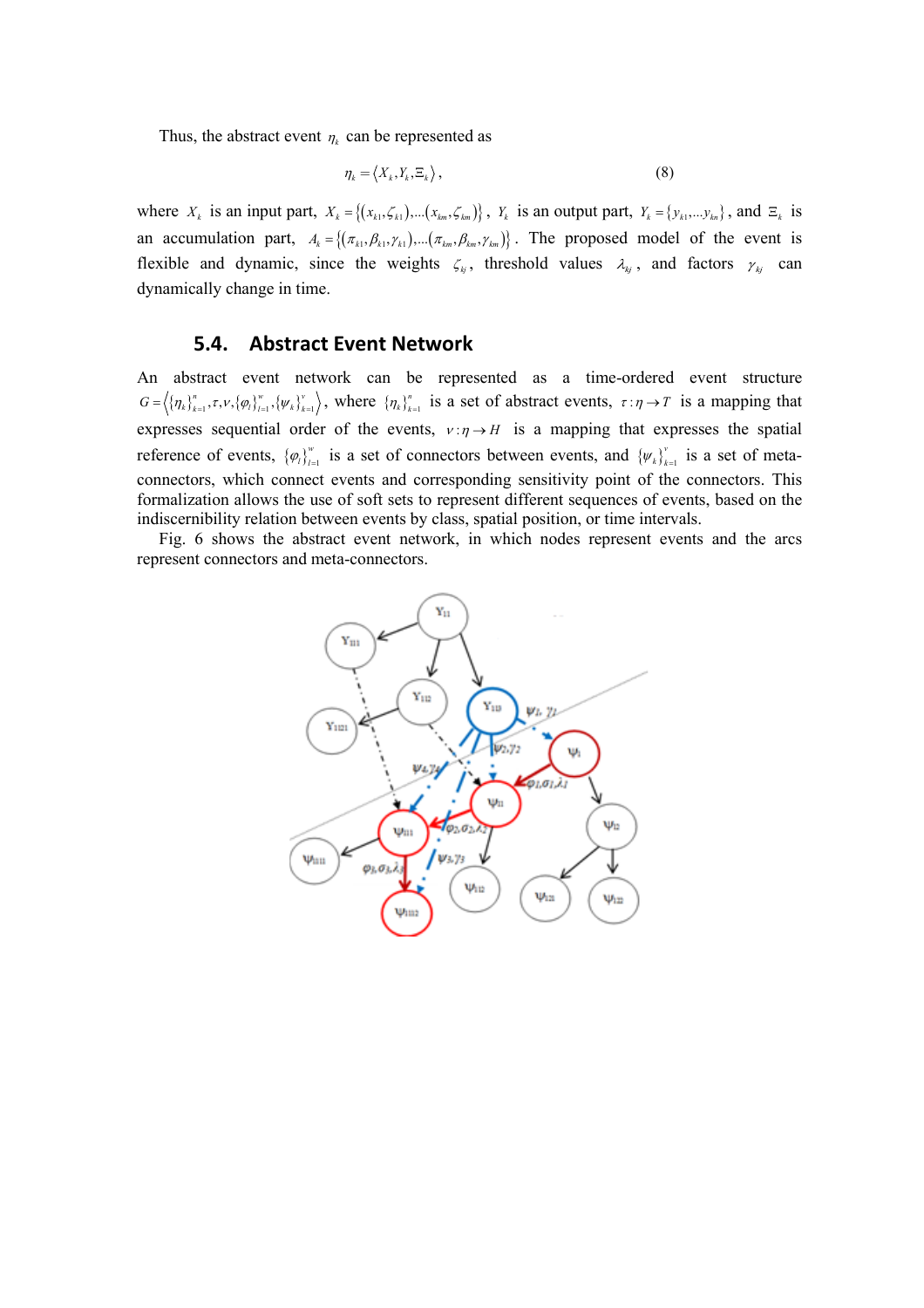Thus, the abstract event  $\eta_k$  can be represented as

$$
\eta_{k} = \langle X_{k}, Y_{k}, \Xi_{k} \rangle, \tag{8}
$$

where  $X_k$  is an input part,  $X_k = \{(x_{k1}, \zeta_{k1}), \dots (x_{km}, \zeta_{km})\}$ ,  $Y_k$  is an output part,  $Y_k = \{y_{k1}, \dots y_{kn}\}$ , and  $\Xi_k$  is an accumulation part,  $A_k = \{(\pi_{k1}, \beta_{k1}, \gamma_{k1}), ..., (\pi_{km}, \beta_{km}, \gamma_{km})\}$ . The proposed model of the event is flexible and dynamic, since the weights  $\zeta_{kj}$ , threshold values  $\lambda_{kj}$ , and factors  $\gamma_{kj}$  can dynamically change in time.

### **5.4. Abstract Event Network**

An abstract event network can be represented as a time-ordered event structure  $G = \left\langle {\{\eta_k\}}_{k=1}^n, \tau, \nu, {\{\varphi_l\}}_{l=1}^w, {\{\psi_k\}}_{k=1}^v \right\rangle$ , where  ${\{\eta_k\}}_{k=1}^n$  is a set of abstract events,  $\tau: \eta \to T$  is a mapping that expresses sequential order of the events,  $v:\eta \to H$  is a mapping that expresses the spatial reference of events,  $\{\varphi_i\}_{i=1}^w$  is a set of connectors between events, and  $\{\psi_k\}_{k=1}^v$  is a set of metaconnectors, which connect events and corresponding sensitivity point of the connectors. This formalization allows the use of soft sets to represent different sequences of events, based on the indiscernibility relation between events by class, spatial position, or time intervals.

Fig. 6 shows the abstract event network, in which nodes represent events and the arcs represent connectors and meta-connectors.

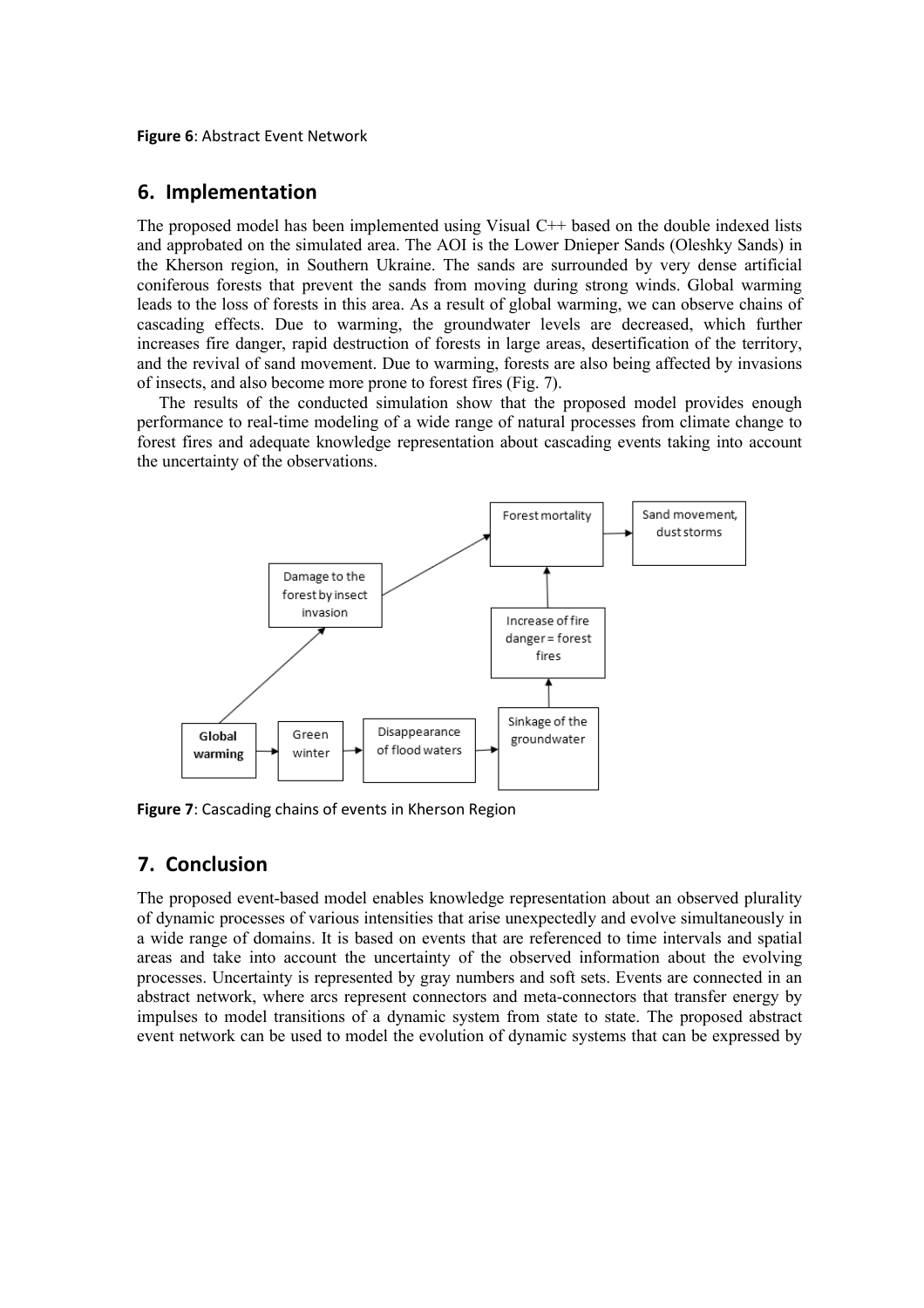**Figure 6**: Abstract Event Network

### **6. Implementation**

The proposed model has been implemented using Visual C++ based on the double indexed lists and approbated on the simulated area. The AOI is the Lower Dnieper Sands (Oleshky Sands) in the Kherson region, in Southern Ukraine. The sands are surrounded by very dense artificial coniferous forests that prevent the sands from moving during strong winds. Global warming leads to the loss of forests in this area. As a result of global warming, we can observe chains of cascading effects. Due to warming, the groundwater levels are decreased, which further increases fire danger, rapid destruction of forests in large areas, desertification of the territory, and the revival of sand movement. Due to warming, forests are also being affected by invasions of insects, and also become more prone to forest fires (Fig. 7).

The results of the conducted simulation show that the proposed model provides enough performance to real-time modeling of a wide range of natural processes from climate change to forest fires and adequate knowledge representation about cascading events taking into account the uncertainty of the observations.



**Figure 7**: Cascading chains of events in Kherson Region

# **7. Conclusion**

The proposed event-based model enables knowledge representation about an observed plurality of dynamic processes of various intensities that arise unexpectedly and evolve simultaneously in a wide range of domains. It is based on events that are referenced to time intervals and spatial areas and take into account the uncertainty of the observed information about the evolving processes. Uncertainty is represented by gray numbers and soft sets. Events are connected in an abstract network, where arcs represent connectors and meta-connectors that transfer energy by impulses to model transitions of a dynamic system from state to state. The proposed abstract event network can be used to model the evolution of dynamic systems that can be expressed by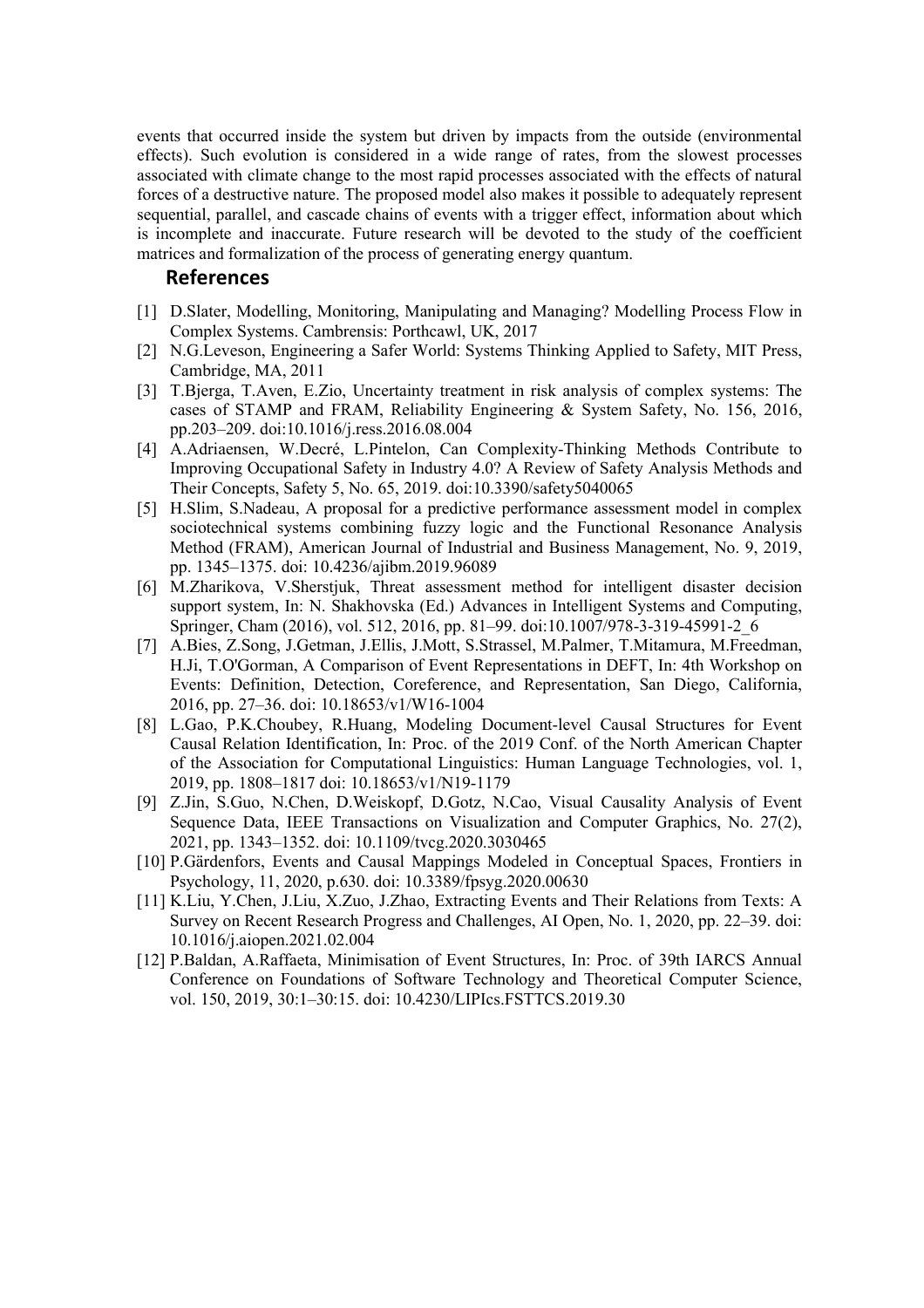events that occurred inside the system but driven by impacts from the outside (environmental effects). Such evolution is considered in a wide range of rates, from the slowest processes associated with climate change to the most rapid processes associated with the effects of natural forces of a destructive nature. The proposed model also makes it possible to adequately represent sequential, parallel, and cascade chains of events with a trigger effect, information about which is incomplete and inaccurate. Future research will be devoted to the study of the coefficient matrices and formalization of the process of generating energy quantum.

#### **References**

- [1] D.Slater, Modelling, Monitoring, Manipulating and Managing? Modelling Process Flow in Complex Systems. Cambrensis: Porthcawl, UK, 2017
- [2] N.G.Leveson, Engineering a Safer World: Systems Thinking Applied to Safety, MIT Press, Cambridge, MA, 2011
- [3] T.Bjerga, T.Aven, E.Zio, Uncertainty treatment in risk analysis of complex systems: The cases of STAMP and FRAM, Reliability Engineering & System Safety, No. 156, 2016, pp.203–209. doi:10.1016/j.ress.2016.08.004
- [4] A.Adriaensen, W.Decré, L.Pintelon, Can Complexity-Thinking Methods Contribute to Improving Occupational Safety in Industry 4.0? A Review of Safety Analysis Methods and Their Concepts, Safety 5, No. 65, 2019. doi:10.3390/safety5040065
- [5] H.Slim, S.Nadeau, A proposal for a predictive performance assessment model in complex sociotechnical systems combining fuzzy logic and the Functional Resonance Analysis Method (FRAM), American Journal of Industrial and Business Management, No. 9, 2019, pp. 1345–1375. doi: 10.4236/ajibm.2019.96089
- [6] M.Zharikova, V.Sherstjuk, Threat assessment method for intelligent disaster decision support system, In: N. Shakhovska (Ed.) Advances in Intelligent Systems and Computing, Springer, Cham (2016), vol. 512, 2016, pp. 81–99. doi:10.1007/978-3-319-45991-2\_6
- [7] A.Bies, Z.Song, J.Getman, J.Ellis, J.Mott, S.Strassel, M.Palmer, T.Mitamura, M.Freedman, H.Ji, T.O'Gorman, A Comparison of Event Representations in DEFT, In: 4th Workshop on Events: Definition, Detection, Coreference, and Representation, San Diego, California, 2016, pp. 27–36. doi: 10.18653/v1/W16-1004
- [8] L.Gao, P.K.Choubey, R.Huang, Modeling Document-level Causal Structures for Event Causal Relation Identification, In: Proc. of the 2019 Conf. of the North American Chapter of the Association for Computational Linguistics: Human Language Technologies, vol. 1, 2019, pp. 1808–1817 doi: 10.18653/v1/N19-1179
- [9] Z.Jin, S.Guo, N.Chen, D.Weiskopf, D.Gotz, N.Cao, Visual Causality Analysis of Event Sequence Data, IEEE Transactions on Visualization and Computer Graphics, No. 27(2), 2021, pp. 1343–1352. doi: 10.1109/tvcg.2020.3030465
- [10] P.Gärdenfors, Events and Causal Mappings Modeled in Conceptual Spaces, Frontiers in Psychology, 11, 2020, p.630. doi: 10.3389/fpsyg.2020.00630
- [11] K.Liu, Y.Chen, J.Liu, X.Zuo, J.Zhao, Extracting Events and Their Relations from Texts: A Survey on Recent Research Progress and Challenges, AI Open, No. 1, 2020, pp. 22–39. doi: 10.1016/j.aiopen.2021.02.004
- [12] P.Baldan, A.Raffaeta, Minimisation of Event Structures, In: Proc. of 39th IARCS Annual Conference on Foundations of Software Technology and Theoretical Computer Science, vol. 150, 2019, 30:1–30:15. doi: 10.4230/LIPIcs.FSTTCS.2019.30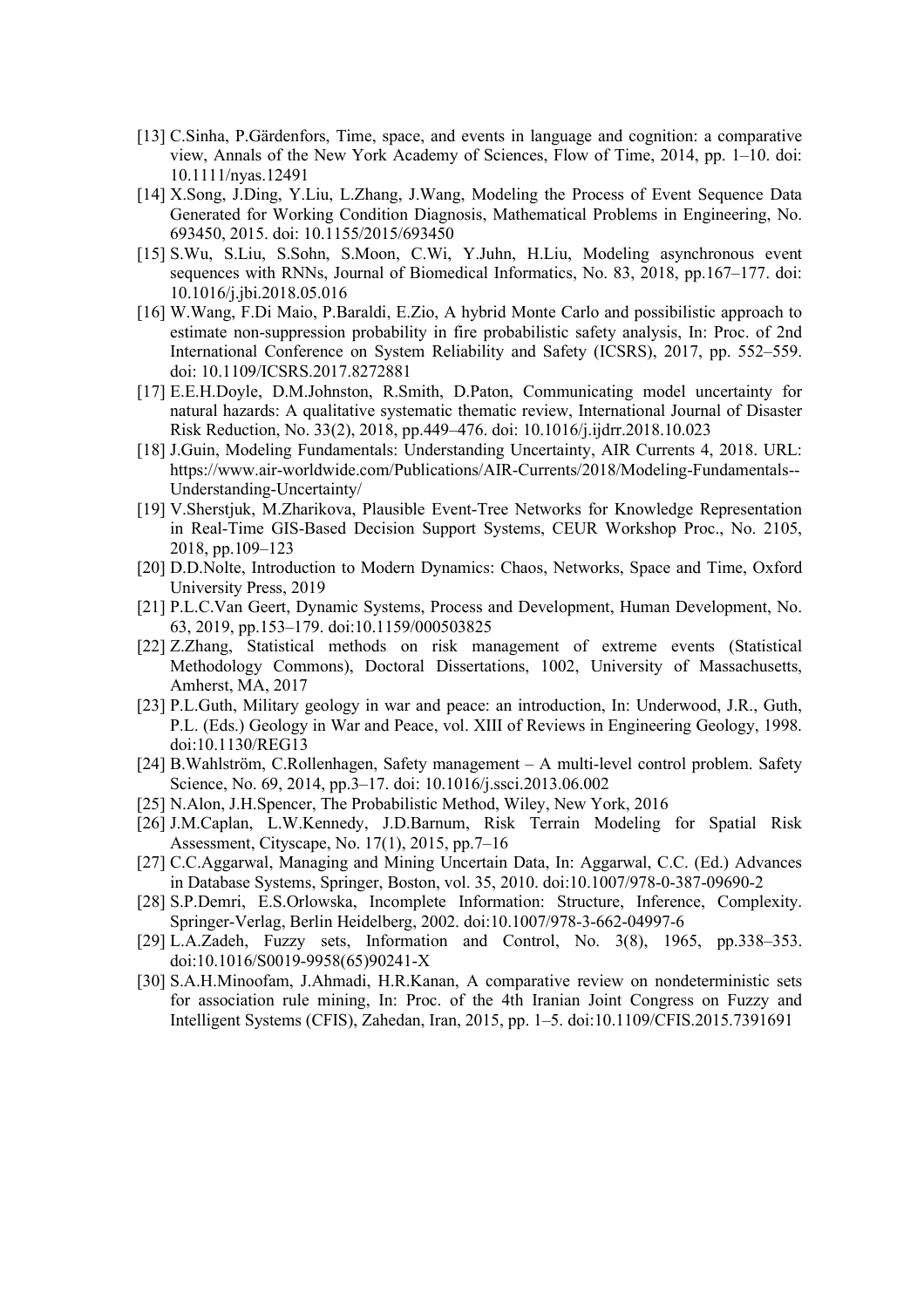- [13] C.Sinha, P.Gärdenfors, Time, space, and events in language and cognition: a comparative view, Annals of the New York Academy of Sciences, Flow of Time, 2014, pp. 1–10. doi: 10.1111/nyas.12491
- [14] X.Song, J.Ding, Y.Liu, L.Zhang, J.Wang, Modeling the Process of Event Sequence Data Generated for Working Condition Diagnosis, Mathematical Problems in Engineering, No. 693450, 2015. doi: 10.1155/2015/693450
- [15] S.Wu, S.Liu, S.Sohn, S.Moon, C.Wi, Y.Juhn, H.Liu, Modeling asynchronous event sequences with RNNs, Journal of Biomedical Informatics, No. 83, 2018, pp.167–177. doi: 10.1016/j.jbi.2018.05.016
- [16] W.Wang, F.Di Maio, P.Baraldi, E.Zio, A hybrid Monte Carlo and possibilistic approach to estimate non-suppression probability in fire probabilistic safety analysis, In: Proc. of 2nd International Conference on System Reliability and Safety (ICSRS), 2017, pp. 552–559. doi: 10.1109/ICSRS.2017.8272881
- [17] E.E.H.Doyle, D.M.Johnston, R.Smith, D.Paton, Communicating model uncertainty for natural hazards: A qualitative systematic thematic review, International Journal of Disaster Risk Reduction, No. 33(2), 2018, pp.449–476. doi: 10.1016/j.ijdrr.2018.10.023
- [18] J.Guin, Modeling Fundamentals: Understanding Uncertainty, AIR Currents 4, 2018. URL: https://www.air-worldwide.com/Publications/AIR-Currents/2018/Modeling-Fundamentals-- Understanding-Uncertainty/
- [19] V.Sherstjuk, M.Zharikova, Plausible Event-Tree Networks for Knowledge Representation in Real-Time GIS-Based Decision Support Systems, CEUR Workshop Proc., No. 2105, 2018, pp.109–123
- [20] D.D.Nolte, Introduction to Modern Dynamics: Chaos, Networks, Space and Time, Oxford University Press, 2019
- [21] P.L.C.Van Geert, Dynamic Systems, Process and Development, Human Development, No. 63, 2019, pp.153–179. doi:10.1159/000503825
- [22] Z.Zhang, Statistical methods on risk management of extreme events (Statistical Methodology Commons), Doctoral Dissertations, 1002, University of Massachusetts, Amherst, MA, 2017
- [23] P.L.Guth, Military geology in war and peace: an introduction, In: Underwood, J.R., Guth, P.L. (Eds.) Geology in War and Peace, vol. XIII of Reviews in Engineering Geology, 1998. doi:10.1130/REG13
- [24] B.Wahlström, C.Rollenhagen, Safety management A multi-level control problem. Safety Science, No. 69, 2014, pp.3–17. doi: 10.1016/j.ssci.2013.06.002
- [25] N.Alon, J.H.Spencer, The Probabilistic Method, Wiley, New York, 2016
- [26] J.M.Caplan, L.W.Kennedy, J.D.Barnum, Risk Terrain Modeling for Spatial Risk Assessment, Cityscape, No. 17(1), 2015, pp.7–16
- [27] C.C.Aggarwal, Managing and Mining Uncertain Data, In: Aggarwal, C.C. (Ed.) Advances in Database Systems, Springer, Boston, vol. 35, 2010. doi:10.1007/978-0-387-09690-2
- [28] S.P.Demri, E.S.Orlowska, Incomplete Information: Structure, Inference, Complexity. Springer-Verlag, Berlin Heidelberg, 2002. doi:10.1007/978-3-662-04997-6
- [29] L.A.Zadeh, Fuzzy sets, Information and Control, No. 3(8), 1965, pp.338–353. doi:10.1016/S0019-9958(65)90241-X
- [30] S.A.H.Minoofam, J.Ahmadi, H.R.Kanan, A comparative review on nondeterministic sets for association rule mining, In: Proc. of the 4th Iranian Joint Congress on Fuzzy and Intelligent Systems (CFIS), Zahedan, Iran, 2015, pp. 1–5. doi:10.1109/CFIS.2015.7391691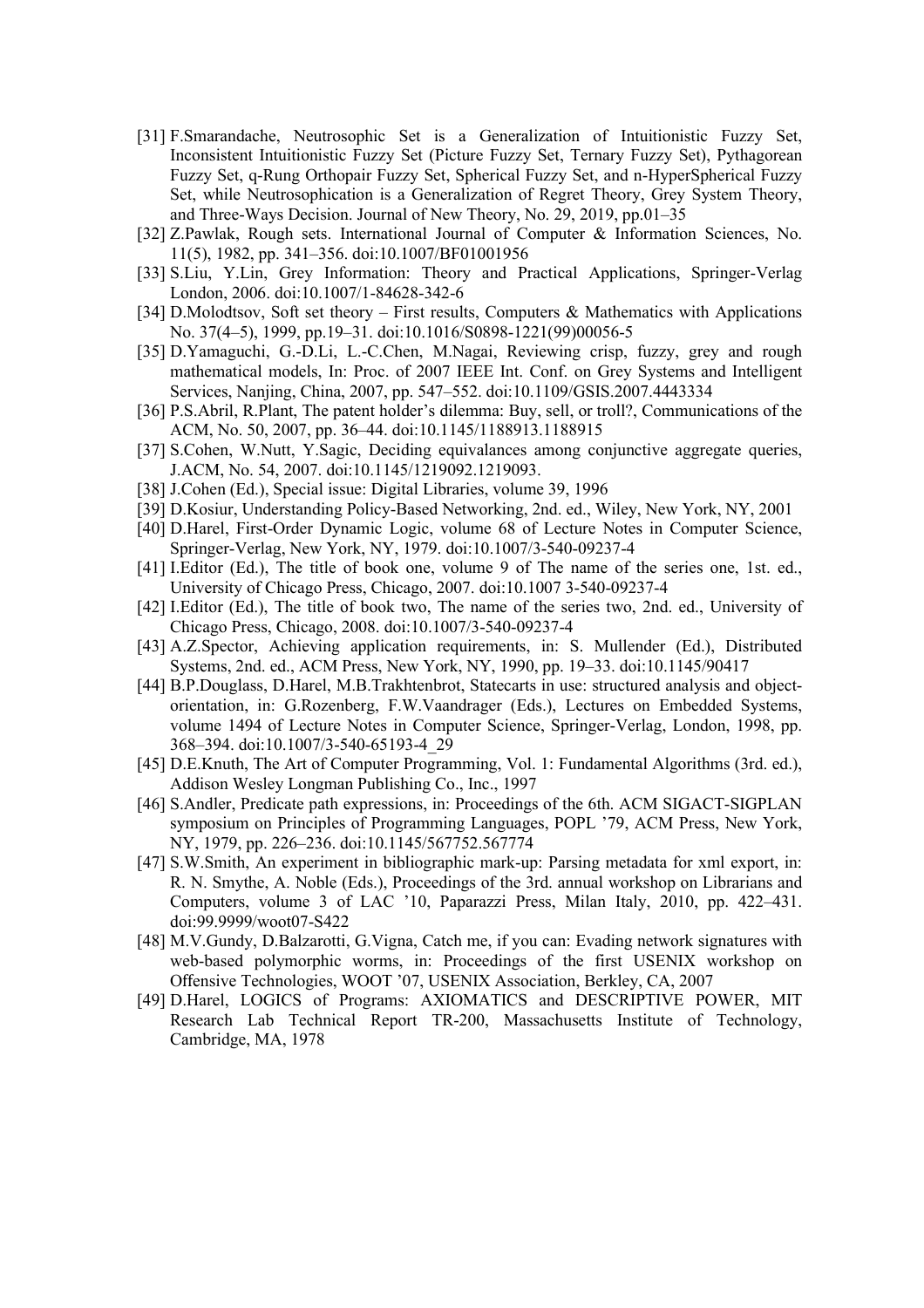- [31] F.Smarandache, Neutrosophic Set is a Generalization of Intuitionistic Fuzzy Set, Inconsistent Intuitionistic Fuzzy Set (Picture Fuzzy Set, Ternary Fuzzy Set), Pythagorean Fuzzy Set, q-Rung Orthopair Fuzzy Set, Spherical Fuzzy Set, and n-HyperSpherical Fuzzy Set, while Neutrosophication is a Generalization of Regret Theory, Grey System Theory, and Three-Ways Decision. Journal of New Theory, No. 29, 2019, pp.01–35
- [32] Z.Pawlak, Rough sets. International Journal of Computer & Information Sciences, No. 11(5), 1982, pp. 341–356. doi:10.1007/BF01001956
- [33] S.Liu, Y.Lin, Grey Information: Theory and Practical Applications, Springer-Verlag London, 2006. doi:10.1007/1-84628-342-6
- [34] D.Molodtsov, Soft set theory First results, Computers & Mathematics with Applications No. 37(4–5), 1999, pp.19–31. doi:10.1016/S0898-1221(99)00056-5
- [35] D.Yamaguchi, G.-D.Li, L.-C.Chen, M.Nagai, Reviewing crisp, fuzzy, grey and rough mathematical models, In: Proc. of 2007 IEEE Int. Conf. on Grey Systems and Intelligent Services, Nanjing, China, 2007, pp. 547–552. doi:10.1109/GSIS.2007.4443334
- [36] P.S.Abril, R.Plant, The patent holder's dilemma: Buy, sell, or troll?, Communications of the ACM, No. 50, 2007, pp. 36–44. doi:10.1145/1188913.1188915
- [37] S.Cohen, W.Nutt, Y.Sagic, Deciding equivalances among conjunctive aggregate queries, J.ACM, No. 54, 2007. doi:10.1145/1219092.1219093.
- [38] J.Cohen (Ed.), Special issue: Digital Libraries, volume 39, 1996
- [39] D.Kosiur, Understanding Policy-Based Networking, 2nd. ed., Wiley, New York, NY, 2001
- [40] D.Harel, First-Order Dynamic Logic, volume 68 of Lecture Notes in Computer Science, Springer-Verlag, New York, NY, 1979. doi:10.1007/3-540-09237-4
- [41] I.Editor (Ed.), The title of book one, volume 9 of The name of the series one, 1st. ed., University of Chicago Press, Chicago, 2007. doi:10.1007 3-540-09237-4
- [42] I.Editor (Ed.), The title of book two, The name of the series two, 2nd. ed., University of Chicago Press, Chicago, 2008. doi:10.1007/3-540-09237-4
- [43] A.Z.Spector, Achieving application requirements, in: S. Mullender (Ed.), Distributed Systems, 2nd. ed., ACM Press, New York, NY, 1990, pp. 19–33. doi:10.1145/90417
- [44] B.P.Douglass, D.Harel, M.B.Trakhtenbrot, Statecarts in use: structured analysis and objectorientation, in: G.Rozenberg, F.W.Vaandrager (Eds.), Lectures on Embedded Systems, volume 1494 of Lecture Notes in Computer Science, Springer-Verlag, London, 1998, pp. 368–394. doi:10.1007/3-540-65193-4\_29
- [45] D.E.Knuth, The Art of Computer Programming, Vol. 1: Fundamental Algorithms (3rd. ed.), Addison Wesley Longman Publishing Co., Inc., 1997
- [46] S.Andler, Predicate path expressions, in: Proceedings of the 6th. ACM SIGACT-SIGPLAN symposium on Principles of Programming Languages, POPL '79, ACM Press, New York, NY, 1979, pp. 226–236. doi:10.1145/567752.567774
- [47] S.W.Smith, An experiment in bibliographic mark-up: Parsing metadata for xml export, in: R. N. Smythe, A. Noble (Eds.), Proceedings of the 3rd. annual workshop on Librarians and Computers, volume 3 of LAC '10, Paparazzi Press, Milan Italy, 2010, pp. 422–431. doi:99.9999/woot07-S422
- [48] M.V.Gundy, D.Balzarotti, G.Vigna, Catch me, if you can: Evading network signatures with web-based polymorphic worms, in: Proceedings of the first USENIX workshop on Offensive Technologies, WOOT '07, USENIX Association, Berkley, CA, 2007
- [49] D.Harel, LOGICS of Programs: AXIOMATICS and DESCRIPTIVE POWER, MIT Research Lab Technical Report TR-200, Massachusetts Institute of Technology, Cambridge, MA, 1978